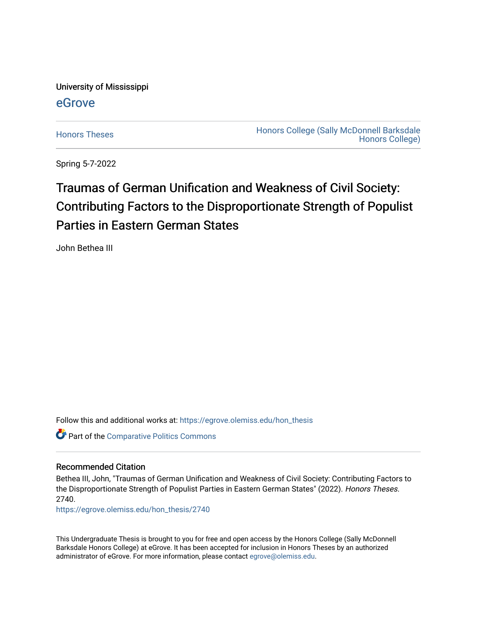University of Mississippi

### [eGrove](https://egrove.olemiss.edu/)

[Honors Theses](https://egrove.olemiss.edu/hon_thesis) **Honors College (Sally McDonnell Barksdale** [Honors College\)](https://egrove.olemiss.edu/honors) 

Spring 5-7-2022

## Traumas of German Unification and Weakness of Civil Society: Contributing Factors to the Disproportionate Strength of Populist Parties in Eastern German States

John Bethea III

Follow this and additional works at: [https://egrove.olemiss.edu/hon\\_thesis](https://egrove.olemiss.edu/hon_thesis?utm_source=egrove.olemiss.edu%2Fhon_thesis%2F2740&utm_medium=PDF&utm_campaign=PDFCoverPages) 

Part of the [Comparative Politics Commons](https://network.bepress.com/hgg/discipline/388?utm_source=egrove.olemiss.edu%2Fhon_thesis%2F2740&utm_medium=PDF&utm_campaign=PDFCoverPages) 

### Recommended Citation

Bethea III, John, "Traumas of German Unification and Weakness of Civil Society: Contributing Factors to the Disproportionate Strength of Populist Parties in Eastern German States" (2022). Honors Theses. 2740.

[https://egrove.olemiss.edu/hon\\_thesis/2740](https://egrove.olemiss.edu/hon_thesis/2740?utm_source=egrove.olemiss.edu%2Fhon_thesis%2F2740&utm_medium=PDF&utm_campaign=PDFCoverPages) 

This Undergraduate Thesis is brought to you for free and open access by the Honors College (Sally McDonnell Barksdale Honors College) at eGrove. It has been accepted for inclusion in Honors Theses by an authorized administrator of eGrove. For more information, please contact [egrove@olemiss.edu](mailto:egrove@olemiss.edu).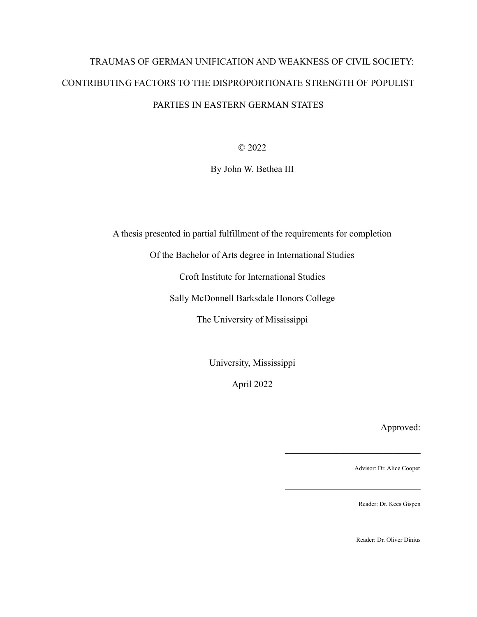## TRAUMAS OF GERMAN UNIFICATION AND WEAKNESS OF CIVIL SOCIETY: CONTRIBUTING FACTORS TO THE DISPROPORTIONATE STRENGTH OF POPULIST PARTIES IN EASTERN GERMAN STATES

© 2022

By John W. Bethea III

A thesis presented in partial fulfillment of the requirements for completion

Of the Bachelor of Arts degree in International Studies

Croft Institute for International Studies

Sally McDonnell Barksdale Honors College

The University of Mississippi

University, Mississippi

April 2022

Approved:

Advisor: Dr. Alice Cooper

 $\mathcal{L}_\text{max}$ 

 $\mathcal{L}_\text{max}$  , where  $\mathcal{L}_\text{max}$  and  $\mathcal{L}_\text{max}$ 

 $\mathcal{L}_\text{max}$  , where  $\mathcal{L}_\text{max}$  and  $\mathcal{L}_\text{max}$ 

Reader: Dr. Kees Gispen

Reader: Dr. Oliver Dinius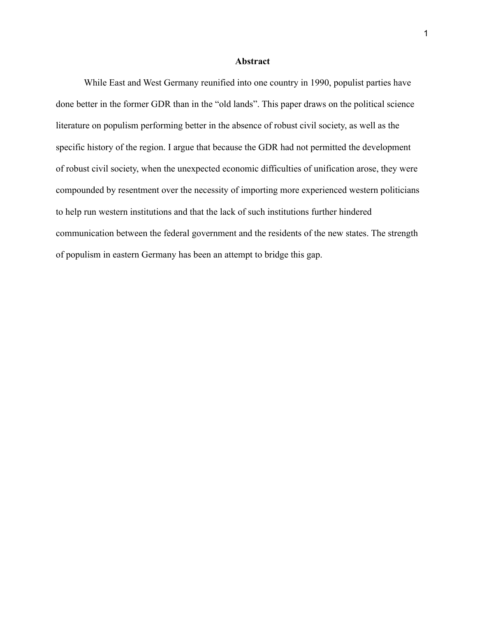### **Abstract**

While East and West Germany reunified into one country in 1990, populist parties have done better in the former GDR than in the "old lands". This paper draws on the political science literature on populism performing better in the absence of robust civil society, as well as the specific history of the region. I argue that because the GDR had not permitted the development of robust civil society, when the unexpected economic difficulties of unification arose, they were compounded by resentment over the necessity of importing more experienced western politicians to help run western institutions and that the lack of such institutions further hindered communication between the federal government and the residents of the new states. The strength of populism in eastern Germany has been an attempt to bridge this gap.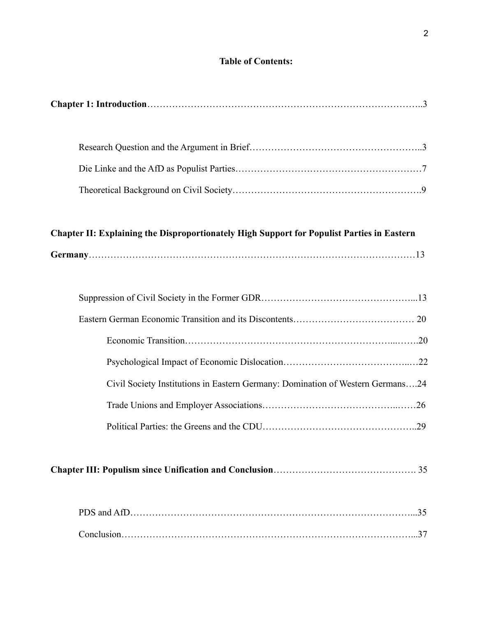### **Table of Contents:**

|--|

### **Chapter II: Explaining the Disproportionately High Support for Populist Parties in Eastern**

|--|

| Civil Society Institutions in Eastern Germany: Domination of Western Germans24 |  |
|--------------------------------------------------------------------------------|--|
|                                                                                |  |
|                                                                                |  |

### **Chapter III: Populism since Unification and Conclusion**………………………………………. 35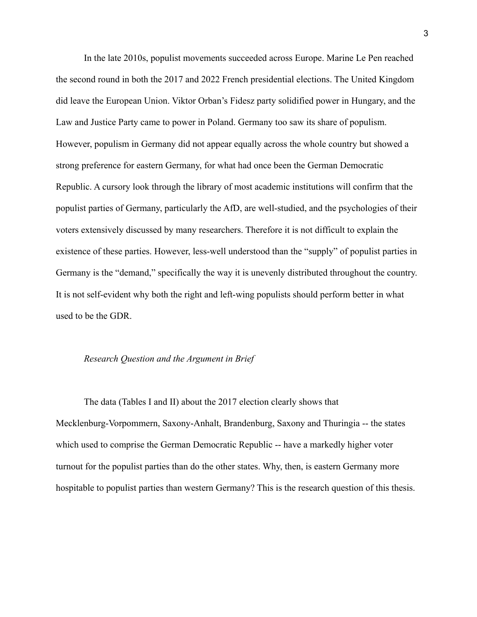In the late 2010s, populist movements succeeded across Europe. Marine Le Pen reached the second round in both the 2017 and 2022 French presidential elections. The United Kingdom did leave the European Union. Viktor Orban's Fidesz party solidified power in Hungary, and the Law and Justice Party came to power in Poland. Germany too saw its share of populism. However, populism in Germany did not appear equally across the whole country but showed a strong preference for eastern Germany, for what had once been the German Democratic Republic. A cursory look through the library of most academic institutions will confirm that the populist parties of Germany, particularly the AfD, are well-studied, and the psychologies of their voters extensively discussed by many researchers. Therefore it is not difficult to explain the existence of these parties. However, less-well understood than the "supply" of populist parties in Germany is the "demand," specifically the way it is unevenly distributed throughout the country. It is not self-evident why both the right and left-wing populists should perform better in what used to be the GDR.

### *Research Question and the Argument in Brief*

The data (Tables I and II) about the 2017 election clearly shows that Mecklenburg-Vorpommern, Saxony-Anhalt, Brandenburg, Saxony and Thuringia -- the states which used to comprise the German Democratic Republic -- have a markedly higher voter turnout for the populist parties than do the other states. Why, then, is eastern Germany more hospitable to populist parties than western Germany? This is the research question of this thesis.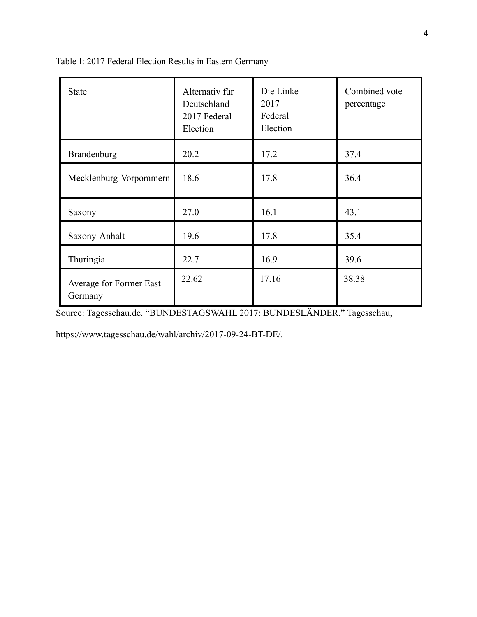| <b>State</b>                       | Alternativ für<br>Deutschland<br>2017 Federal<br>Election | Die Linke<br>2017<br>Federal<br>Election | Combined vote<br>percentage |
|------------------------------------|-----------------------------------------------------------|------------------------------------------|-----------------------------|
| Brandenburg                        | 20.2                                                      | 17.2                                     | 37.4                        |
| Mecklenburg-Vorpommern             | 18.6                                                      | 17.8                                     | 36.4                        |
| Saxony                             | 27.0                                                      | 16.1                                     | 43.1                        |
| Saxony-Anhalt                      | 19.6                                                      | 17.8                                     | 35.4                        |
| Thuringia                          | 22.7                                                      | 16.9                                     | 39.6                        |
| Average for Former East<br>Germany | 22.62                                                     | 17.16                                    | 38.38                       |

Table I: 2017 Federal Election Results in Eastern Germany

Source: Tagesschau.de. "BUNDESTAGSWAHL 2017: BUNDESLÄNDER." Tagesschau,

[https://www.tagesschau.de/wahl/archiv/2017-09-24-BT](http://www.tagesschau.de/wahl/archiv/2017-09-24-BT-DE/)-DE/.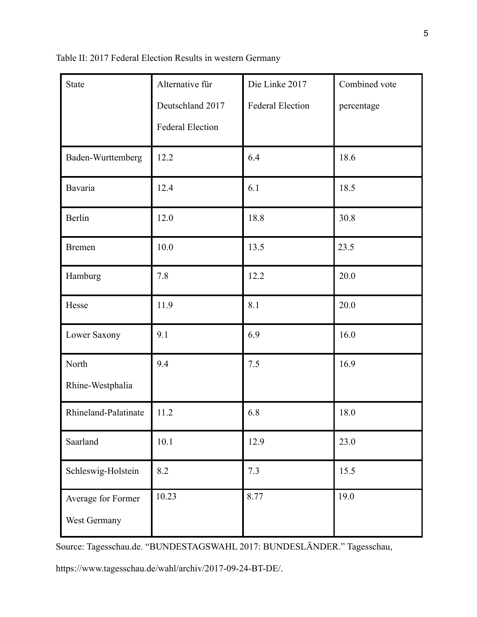|  |  |  |  | Table II: 2017 Federal Election Results in western Germany |
|--|--|--|--|------------------------------------------------------------|
|  |  |  |  |                                                            |

| <b>State</b>                       | Alternative für         | Die Linke 2017          | Combined vote |
|------------------------------------|-------------------------|-------------------------|---------------|
|                                    | Deutschland 2017        | <b>Federal Election</b> | percentage    |
|                                    | <b>Federal Election</b> |                         |               |
| Baden-Wurttemberg                  | 12.2                    | 6.4                     | 18.6          |
| Bavaria                            | 12.4                    | 6.1                     | 18.5          |
| Berlin                             | 12.0                    | 18.8                    | 30.8          |
| <b>Bremen</b>                      | 10.0                    | 13.5                    | 23.5          |
| Hamburg                            | 7.8                     | 12.2                    | 20.0          |
| Hesse                              | 11.9                    | 8.1                     | 20.0          |
| Lower Saxony                       | 9.1                     | 6.9                     | 16.0          |
| North                              | 9.4                     | 7.5                     | 16.9          |
| Rhine-Westphalia                   |                         |                         |               |
| Rhineland-Palatinate               | 11.2                    | 6.8                     | 18.0          |
| Saarland                           | $10.1$                  | 12.9                    | 23.0          |
| Schleswig-Holstein                 | 8.2                     | 7.3                     | 15.5          |
| Average for Former<br>West Germany | 10.23                   | 8.77                    | 19.0          |

Source: Tagesschau.de. "BUNDESTAGSWAHL 2017: BUNDESLÄNDER." Tagesschau,

[https://www.tagesschau.de/wahl/archiv/2017-09-24-BT](http://www.tagesschau.de/wahl/archiv/2017-09-24-BT-DE/)-DE/.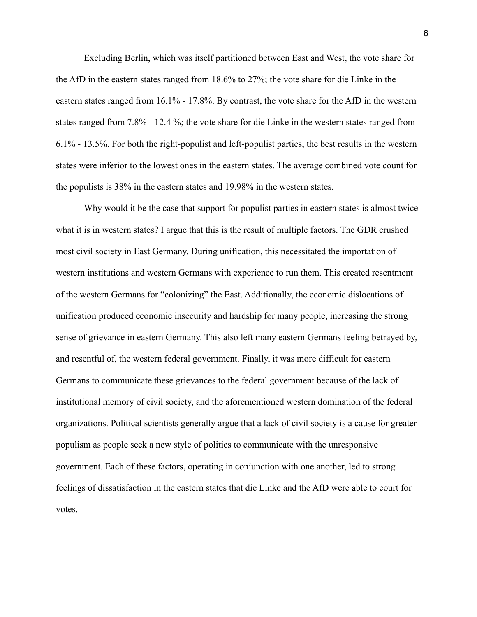Excluding Berlin, which was itself partitioned between East and West, the vote share for the AfD in the eastern states ranged from 18.6% to 27%; the vote share for die Linke in the eastern states ranged from 16.1% - 17.8%. By contrast, the vote share for the AfD in the western states ranged from 7.8% - 12.4 %; the vote share for die Linke in the western states ranged from 6.1% - 13.5%. For both the right-populist and left-populist parties, the best results in the western states were inferior to the lowest ones in the eastern states. The average combined vote count for the populists is 38% in the eastern states and 19.98% in the western states.

Why would it be the case that support for populist parties in eastern states is almost twice what it is in western states? I argue that this is the result of multiple factors. The GDR crushed most civil society in East Germany. During unification, this necessitated the importation of western institutions and western Germans with experience to run them. This created resentment of the western Germans for "colonizing" the East. Additionally, the economic dislocations of unification produced economic insecurity and hardship for many people, increasing the strong sense of grievance in eastern Germany. This also left many eastern Germans feeling betrayed by, and resentful of, the western federal government. Finally, it was more difficult for eastern Germans to communicate these grievances to the federal government because of the lack of institutional memory of civil society, and the aforementioned western domination of the federal organizations. Political scientists generally argue that a lack of civil society is a cause for greater populism as people seek a new style of politics to communicate with the unresponsive government. Each of these factors, operating in conjunction with one another, led to strong feelings of dissatisfaction in the eastern states that die Linke and the AfD were able to court for votes.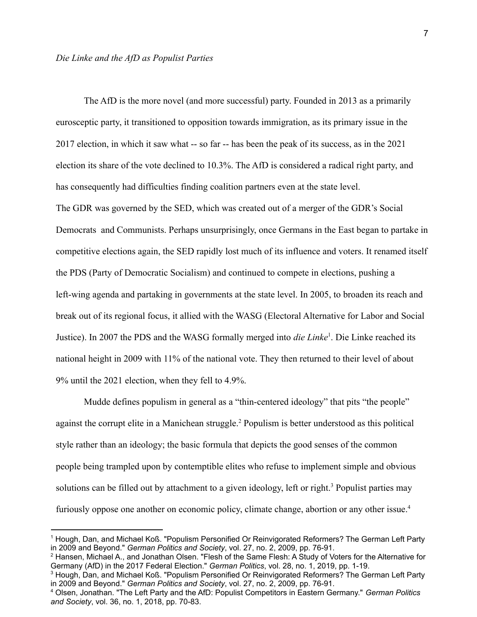The AfD is the more novel (and more successful) party. Founded in 2013 as a primarily eurosceptic party, it transitioned to opposition towards immigration, as its primary issue in the 2017 election, in which it saw what -- so far -- has been the peak of its success, as in the 2021 election its share of the vote declined to 10.3%. The AfD is considered a radical right party, and has consequently had difficulties finding coalition partners even at the state level. The GDR was governed by the SED, which was created out of a merger of the GDR's Social Democrats and Communists. Perhaps unsurprisingly, once Germans in the East began to partake in competitive elections again, the SED rapidly lost much of its influence and voters. It renamed itself the PDS (Party of Democratic Socialism) and continued to compete in elections, pushing a left-wing agenda and partaking in governments at the state level. In 2005, to broaden its reach and break out of its regional focus, it allied with the WASG (Electoral Alternative for Labor and Social Justice). In 2007 the PDS and the WASG formally merged into *die Linke*<sup>1</sup>. Die Linke reached its national height in 2009 with 11% of the national vote. They then returned to their level of about 9% until the 2021 election, when they fell to 4.9%.

Mudde defines populism in general as a "thin-centered ideology" that pits "the people" against the corrupt elite in a Manichean struggle.<sup>2</sup> Populism is better understood as this political style rather than an ideology; the basic formula that depicts the good senses of the common people being trampled upon by contemptible elites who refuse to implement simple and obvious solutions can be filled out by attachment to a given ideology, left or right.<sup>3</sup> Populist parties may furiously oppose one another on economic policy, climate change, abortion or any other issue.<sup>4</sup>

<sup>1</sup> Hough, Dan, and Michael Koß. "Populism Personified Or Reinvigorated Reformers? The German Left Party in 2009 and Beyond." *German Politics and Society*, vol. 27, no. 2, 2009, pp. 76-91.

<sup>2</sup> Hansen, Michael A., and Jonathan Olsen. "Flesh of the Same Flesh: A Study of Voters for the Alternative for Germany (AfD) in the 2017 Federal Election." *German Politics*, vol. 28, no. 1, 2019, pp. 1-19.

<sup>&</sup>lt;sup>3</sup> Hough, Dan, and Michael Koß. "Populism Personified Or Reinvigorated Reformers? The German Left Party in 2009 and Beyond." *German Politics and Society*, vol. 27, no. 2, 2009, pp. 76-91.

<sup>4</sup> Olsen, Jonathan. "The Left Party and the AfD: Populist Competitors in Eastern Germany." *German Politics and Society*, vol. 36, no. 1, 2018, pp. 70-83.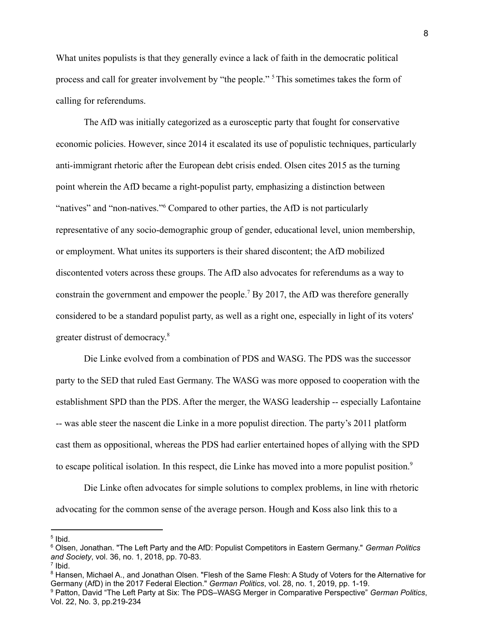What unites populists is that they generally evince a lack of faith in the democratic political process and call for greater involvement by "the people." <sup>5</sup>This sometimes takes the form of calling for referendums.

The AfD was initially categorized as a eurosceptic party that fought for conservative economic policies. However, since 2014 it escalated its use of populistic techniques, particularly anti-immigrant rhetoric after the European debt crisis ended. Olsen cites 2015 as the turning point wherein the AfD became a right-populist party, emphasizing a distinction between "natives" and "non-natives."<sup>6</sup> Compared to other parties, the AfD is not particularly representative of any socio-demographic group of gender, educational level, union membership, or employment. What unites its supporters is their shared discontent; the AfD mobilized discontented voters across these groups. The AfD also advocates for referendums as a way to constrain the government and empower the people.<sup>7</sup> By 2017, the AfD was therefore generally considered to be a standard populist party, as well as a right one, especially in light of its voters' greater distrust of democracy. 8

Die Linke evolved from a combination of PDS and WASG. The PDS was the successor party to the SED that ruled East Germany. The WASG was more opposed to cooperation with the establishment SPD than the PDS. After the merger, the WASG leadership -- especially Lafontaine -- was able steer the nascent die Linke in a more populist direction. The party's 2011 platform cast them as oppositional, whereas the PDS had earlier entertained hopes of allying with the SPD to escape political isolation. In this respect, die Linke has moved into a more populist position.<sup>9</sup>

Die Linke often advocates for simple solutions to complex problems, in line with rhetoric advocating for the common sense of the average person. Hough and Koss also link this to a

<sup>5</sup> Ibid.

<sup>6</sup> Olsen, Jonathan. "The Left Party and the AfD: Populist Competitors in Eastern Germany." *German Politics and Society*, vol. 36, no. 1, 2018, pp. 70-83.

<sup>7</sup> Ibid.

<sup>9</sup> Patton, David "The Left Party at Six: The PDS–WASG Merger in Comparative Perspective" *German Politics*, <sup>8</sup> Hansen, Michael A., and Jonathan Olsen. "Flesh of the Same Flesh: A Study of Voters for the Alternative for Germany (AfD) in the 2017 Federal Election." *German Politics*, vol. 28, no. 1, 2019, pp. 1-19.

Vol. 22, No. 3, pp.219-234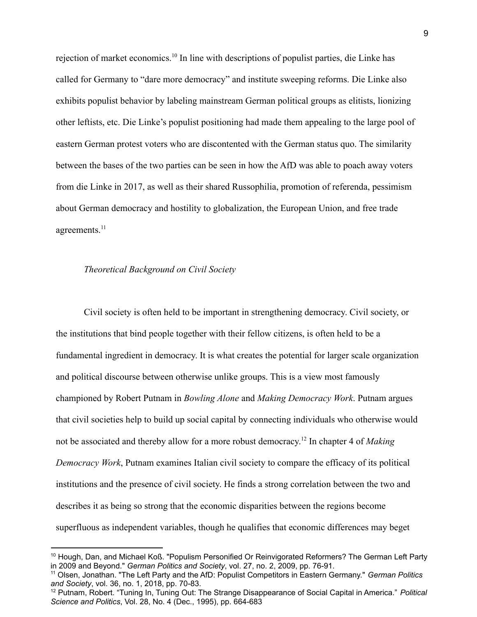rejection of market economics.<sup>10</sup> In line with descriptions of populist parties, die Linke has called for Germany to "dare more democracy" and institute sweeping reforms. Die Linke also exhibits populist behavior by labeling mainstream German political groups as elitists, lionizing other leftists, etc. Die Linke's populist positioning had made them appealing to the large pool of eastern German protest voters who are discontented with the German status quo. The similarity between the bases of the two parties can be seen in how the AfD was able to poach away voters from die Linke in 2017, as well as their shared Russophilia, promotion of referenda, pessimism about German democracy and hostility to globalization, the European Union, and free trade agreements.<sup>11</sup>

### *Theoretical Background on Civil Society*

Civil society is often held to be important in strengthening democracy. Civil society, or the institutions that bind people together with their fellow citizens, is often held to be a fundamental ingredient in democracy. It is what creates the potential for larger scale organization and political discourse between otherwise unlike groups. This is a view most famously championed by Robert Putnam in *Bowling Alone* and *Making Democracy Work*. Putnam argues that civil societies help to build up social capital by connecting individuals who otherwise would not be associated and thereby allow for a more robust democracy. 12 In chapter 4 of *Making Democracy Work*, Putnam examines Italian civil society to compare the efficacy of its political institutions and the presence of civil society. He finds a strong correlation between the two and describes it as being so strong that the economic disparities between the regions become superfluous as independent variables, though he qualifies that economic differences may beget

<sup>&</sup>lt;sup>10</sup> Hough, Dan, and Michael Koß. "Populism Personified Or Reinvigorated Reformers? The German Left Party in 2009 and Beyond." *German Politics and Society*, vol. 27, no. 2, 2009, pp. 76-91.

<sup>11</sup> Olsen, Jonathan. "The Left Party and the AfD: Populist Competitors in Eastern Germany." *German Politics and Society*, vol. 36, no. 1, 2018, pp. 70-83.

<sup>12</sup> Putnam, Robert. "Tuning In, Tuning Out: The Strange Disappearance of Social Capital in America." *Political Science and Politics*, Vol. 28, No. 4 (Dec., 1995), pp. 664-683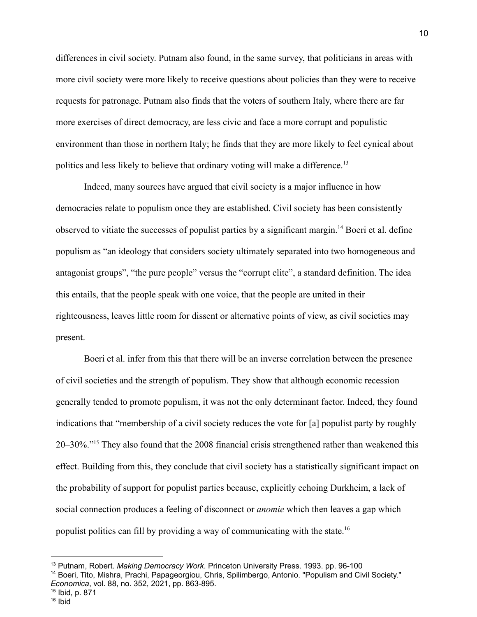differences in civil society. Putnam also found, in the same survey, that politicians in areas with more civil society were more likely to receive questions about policies than they were to receive requests for patronage. Putnam also finds that the voters of southern Italy, where there are far more exercises of direct democracy, are less civic and face a more corrupt and populistic environment than those in northern Italy; he finds that they are more likely to feel cynical about politics and less likely to believe that ordinary voting will make a difference.<sup>13</sup>

Indeed, many sources have argued that civil society is a major influence in how democracies relate to populism once they are established. Civil society has been consistently observed to vitiate the successes of populist parties by a significant margin.<sup>14</sup> Boeri et al. define populism as "an ideology that considers society ultimately separated into two homogeneous and antagonist groups", "the pure people" versus the "corrupt elite", a standard definition. The idea this entails, that the people speak with one voice, that the people are united in their righteousness, leaves little room for dissent or alternative points of view, as civil societies may present.

Boeri et al. infer from this that there will be an inverse correlation between the presence of civil societies and the strength of populism. They show that although economic recession generally tended to promote populism, it was not the only determinant factor. Indeed, they found indications that "membership of a civil society reduces the vote for [a] populist party by roughly 20–30%."<sup>15</sup> They also found that the 2008 financial crisis strengthened rather than weakened this effect. Building from this, they conclude that civil society has a statistically significant impact on the probability of support for populist parties because, explicitly echoing Durkheim, a lack of social connection produces a feeling of disconnect or *anomie* which then leaves a gap which populist politics can fill by providing a way of communicating with the state.<sup>16</sup>

<sup>16</sup> Ibid <sup>15</sup> Ibid, p. 871

<sup>13</sup> Putnam, Robert. *Making Democracy Work*. Princeton University Press. 1993. pp. 96-100

<sup>&</sup>lt;sup>14</sup> Boeri, Tito, Mishra, Prachi, Papageorgiou, Chris, Spilimbergo, Antonio. "Populism and Civil Society." *Economica*, vol. 88, no. 352, 2021, pp. 863-895.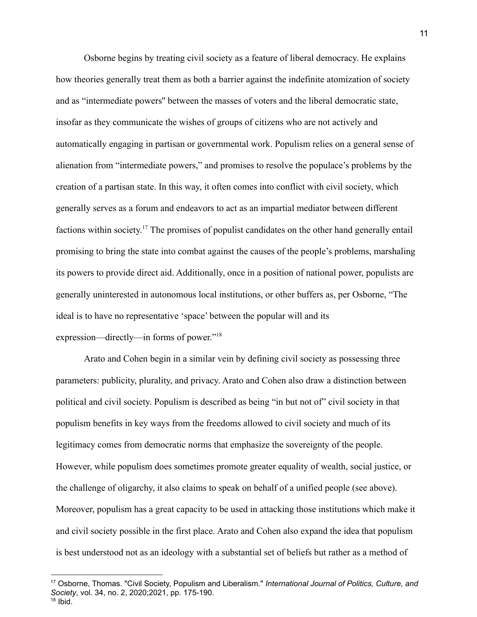Osborne begins by treating civil society as a feature of liberal democracy. He explains how theories generally treat them as both a barrier against the indefinite atomization of society and as "intermediate powers'' between the masses of voters and the liberal democratic state, insofar as they communicate the wishes of groups of citizens who are not actively and automatically engaging in partisan or governmental work. Populism relies on a general sense of alienation from "intermediate powers," and promises to resolve the populace's problems by the creation of a partisan state. In this way, it often comes into conflict with civil society, which generally serves as a forum and endeavors to act as an impartial mediator between different factions within society.<sup>17</sup> The promises of populist candidates on the other hand generally entail promising to bring the state into combat against the causes of the people's problems, marshaling its powers to provide direct aid. Additionally, once in a position of national power, populists are generally uninterested in autonomous local institutions, or other buffers as, per Osborne, "The ideal is to have no representative 'space' between the popular will and its expression—directly—in forms of power."<sup>18</sup>

Arato and Cohen begin in a similar vein by defining civil society as possessing three parameters: publicity, plurality, and privacy. Arato and Cohen also draw a distinction between political and civil society. Populism is described as being "in but not of" civil society in that populism benefits in key ways from the freedoms allowed to civil society and much of its legitimacy comes from democratic norms that emphasize the sovereignty of the people. However, while populism does sometimes promote greater equality of wealth, social justice, or the challenge of oligarchy, it also claims to speak on behalf of a unified people (see above). Moreover, populism has a great capacity to be used in attacking those institutions which make it and civil society possible in the first place. Arato and Cohen also expand the idea that populism is best understood not as an ideology with a substantial set of beliefs but rather as a method of

<sup>17</sup> Osborne, Thomas. "Civil Society, Populism and Liberalism." *International Journal of Politics, Culture, and Society*, vol. 34, no. 2, 2020;2021, pp. 175-190.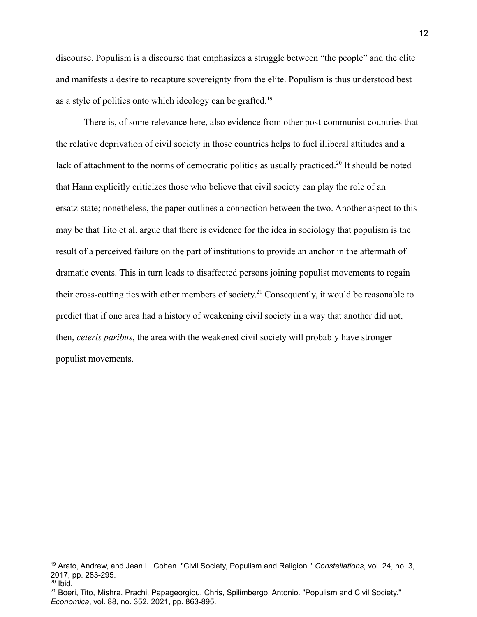discourse. Populism is a discourse that emphasizes a struggle between "the people" and the elite and manifests a desire to recapture sovereignty from the elite. Populism is thus understood best as a style of politics onto which ideology can be grafted.<sup>19</sup>

There is, of some relevance here, also evidence from other post-communist countries that the relative deprivation of civil society in those countries helps to fuel illiberal attitudes and a lack of attachment to the norms of democratic politics as usually practiced.<sup>20</sup> It should be noted that Hann explicitly criticizes those who believe that civil society can play the role of an ersatz-state; nonetheless, the paper outlines a connection between the two. Another aspect to this may be that Tito et al. argue that there is evidence for the idea in sociology that populism is the result of a perceived failure on the part of institutions to provide an anchor in the aftermath of dramatic events. This in turn leads to disaffected persons joining populist movements to regain their cross-cutting ties with other members of society. <sup>21</sup> Consequently, it would be reasonable to predict that if one area had a history of weakening civil society in a way that another did not, then, *ceteris paribus*, the area with the weakened civil society will probably have stronger populist movements.

<sup>19</sup> Arato, Andrew, and Jean L. Cohen. "Civil Society, Populism and Religion." *Constellations*, vol. 24, no. 3, 2017, pp. 283-295.

 $20$  Ibid.

<sup>&</sup>lt;sup>21</sup> Boeri, Tito, Mishra, Prachi, Papageorgiou, Chris, Spilimbergo, Antonio. "Populism and Civil Society." *Economica*, vol. 88, no. 352, 2021, pp. 863-895.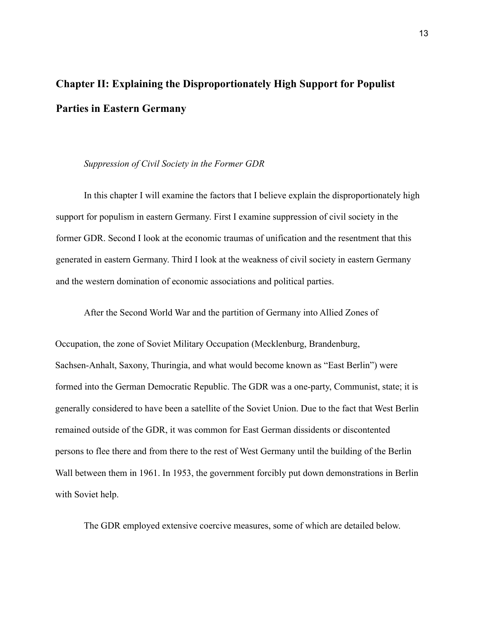# **Chapter II: Explaining the Disproportionately High Support for Populist Parties in Eastern Germany**

### *Suppression of Civil Society in the Former GDR*

In this chapter I will examine the factors that I believe explain the disproportionately high support for populism in eastern Germany. First I examine suppression of civil society in the former GDR. Second I look at the economic traumas of unification and the resentment that this generated in eastern Germany. Third I look at the weakness of civil society in eastern Germany and the western domination of economic associations and political parties.

After the Second World War and the partition of Germany into Allied Zones of

Occupation, the zone of Soviet Military Occupation (Mecklenburg, Brandenburg, Sachsen-Anhalt, Saxony, Thuringia, and what would become known as "East Berlin") were formed into the German Democratic Republic. The GDR was a one-party, Communist, state; it is generally considered to have been a satellite of the Soviet Union. Due to the fact that West Berlin remained outside of the GDR, it was common for East German dissidents or discontented persons to flee there and from there to the rest of West Germany until the building of the Berlin Wall between them in 1961. In 1953, the government forcibly put down demonstrations in Berlin with Soviet help.

The GDR employed extensive coercive measures, some of which are detailed below.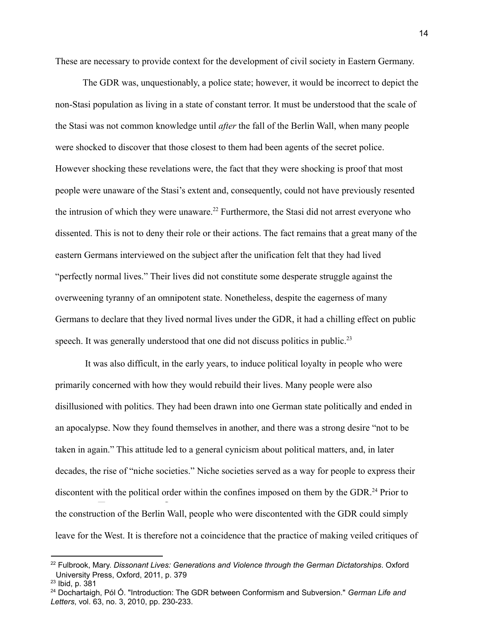These are necessary to provide context for the development of civil society in Eastern Germany.

The GDR was, unquestionably, a police state; however, it would be incorrect to depict the non-Stasi population as living in a state of constant terror. It must be understood that the scale of the Stasi was not common knowledge until *after* the fall of the Berlin Wall, when many people were shocked to discover that those closest to them had been agents of the secret police. However shocking these revelations were, the fact that they were shocking is proof that most people were unaware of the Stasi's extent and, consequently, could not have previously resented the intrusion of which they were unaware.<sup>22</sup> Furthermore, the Stasi did not arrest everyone who dissented. This is not to deny their role or their actions. The fact remains that a great many of the eastern Germans interviewed on the subject after the unification felt that they had lived "perfectly normal lives." Their lives did not constitute some desperate struggle against the overweening tyranny of an omnipotent state. Nonetheless, despite the eagerness of many Germans to declare that they lived normal lives under the GDR, it had a chilling effect on public speech. It was generally understood that one did not discuss politics in public.<sup>23</sup>

It was also difficult, in the early years, to induce political loyalty in people who were primarily concerned with how they would rebuild their lives. Many people were also disillusioned with politics. They had been drawn into one German state politically and ended in an apocalypse. Now they found themselves in another, and there was a strong desire "not to be taken in again." This attitude led to a general cynicism about political matters, and, in later decades, the rise of "niche societies." Niche societies served as a way for people to express their discontent with the political order within the confines imposed on them by the GDR.<sup>24</sup> Prior to the construction of the Berlin Wall, people who were discontented with the GDR could simply leave for the West. It is therefore not a coincidence that the practice of making veiled critiques of

<sup>22</sup> Fulbrook, Mary. *Dissonant Lives: Generations and Violence through the German Dictatorships*. Oxford University Press, Oxford, 2011, p. 379

<sup>23</sup> Ibid, p. 381

<sup>24</sup> Dochartaigh, Pól Ó. "Introduction: The GDR between Conformism and Subversion." *German Life and Letters*, vol. 63, no. 3, 2010, pp. 230-233.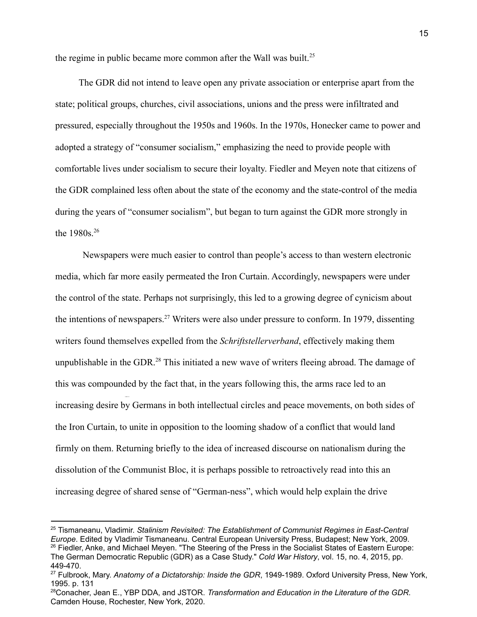the regime in public became more common after the Wall was built.<sup>25</sup>

The GDR did not intend to leave open any private association or enterprise apart from the state; political groups, churches, civil associations, unions and the press were infiltrated and pressured, especially throughout the 1950s and 1960s. In the 1970s, Honecker came to power and adopted a strategy of "consumer socialism," emphasizing the need to provide people with comfortable lives under socialism to secure their loyalty. Fiedler and Meyen note that citizens of the GDR complained less often about the state of the economy and the state-control of the media during the years of "consumer socialism", but began to turn against the GDR more strongly in the  $1980s^{26}$ 

Newspapers were much easier to control than people's access to than western electronic media, which far more easily permeated the Iron Curtain. Accordingly, newspapers were under the control of the state. Perhaps not surprisingly, this led to a growing degree of cynicism about the intentions of newspapers.<sup>27</sup> Writers were also under pressure to conform. In 1979, dissenting writers found themselves expelled from the *Schriftstellerverband*, effectively making them unpublishable in the GDR.<sup>28</sup> This initiated a new wave of writers fleeing abroad. The damage of this was compounded by the fact that, in the years following this, the arms race led to an increasing desire by Germans in both intellectual circles and peace movements, on both sides of the Iron Curtain, to unite in opposition to the looming shadow of a conflict that would land firmly on them. Returning briefly to the idea of increased discourse on nationalism during the dissolution of the Communist Bloc, it is perhaps possible to retroactively read into this an increasing degree of shared sense of "German-ness", which would help explain the drive

<sup>&</sup>lt;sup>26</sup> Fiedler, Anke, and Michael Meyen. "The Steering of the Press in the Socialist States of Eastern Europe: The German Democratic Republic (GDR) as a Case Study." *Cold War History*, vol. 15, no. 4, 2015, pp. 449-470. <sup>25</sup> Tismaneanu, Vladimir. *Stalinism Revisited: The Establishment of Communist Regimes in East-Central Europe*. Edited by Vladimir Tismaneanu. Central European University Press, Budapest; New York, 2009.

<sup>27</sup> Fulbrook, Mary. *Anatomy of a Dictatorship: Inside the GDR*, 1949-1989. Oxford University Press, New York, 1995. p. 131

<sup>28</sup>Conacher, Jean E., YBP DDA, and JSTOR. *Transformation and Education in the Literature of the GDR*. Camden House, Rochester, New York, 2020.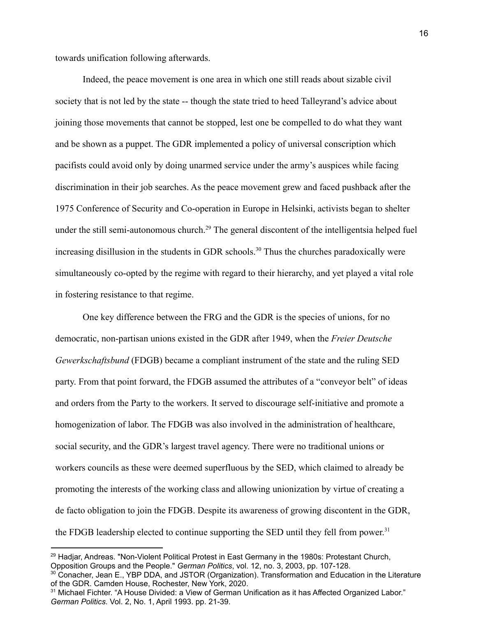towards unification following afterwards.

Indeed, the peace movement is one area in which one still reads about sizable civil society that is not led by the state -- though the state tried to heed Talleyrand's advice about joining those movements that cannot be stopped, lest one be compelled to do what they want and be shown as a puppet. The GDR implemented a policy of universal conscription which pacifists could avoid only by doing unarmed service under the army's auspices while facing discrimination in their job searches. As the peace movement grew and faced pushback after the 1975 Conference of Security and Co-operation in Europe in Helsinki, activists began to shelter under the still semi-autonomous church.<sup>29</sup> The general discontent of the intelligentsia helped fuel increasing disillusion in the students in GDR schools.<sup>30</sup> Thus the churches paradoxically were simultaneously co-opted by the regime with regard to their hierarchy, and yet played a vital role in fostering resistance to that regime.

One key difference between the FRG and the GDR is the species of unions, for no democratic, non-partisan unions existed in the GDR after 1949, when the *Freier Deutsche Gewerkschaftsbund* (FDGB) became a compliant instrument of the state and the ruling SED party. From that point forward, the FDGB assumed the attributes of a "conveyor belt" of ideas and orders from the Party to the workers. It served to discourage self-initiative and promote a homogenization of labor. The FDGB was also involved in the administration of healthcare, social security, and the GDR's largest travel agency. There were no traditional unions or workers councils as these were deemed superfluous by the SED, which claimed to already be promoting the interests of the working class and allowing unionization by virtue of creating a de facto obligation to join the FDGB. Despite its awareness of growing discontent in the GDR, the FDGB leadership elected to continue supporting the SED until they fell from power.<sup>31</sup>

<sup>&</sup>lt;sup>29</sup> Hadjar, Andreas. "Non-Violent Political Protest in East Germany in the 1980s: Protestant Church, Opposition Groups and the People." *German Politics*, vol. 12, no. 3, 2003, pp. 107-128.

<sup>&</sup>lt;sup>30</sup> Conacher, Jean E., YBP DDA, and JSTOR (Organization). Transformation and Education in the Literature of the GDR. Camden House, Rochester, New York, 2020.

<sup>&</sup>lt;sup>31</sup> Michael Fichter. "A House Divided: a View of German Unification as it has Affected Organized Labor." *German Politics*. Vol. 2, No. 1, April 1993. pp. 21-39.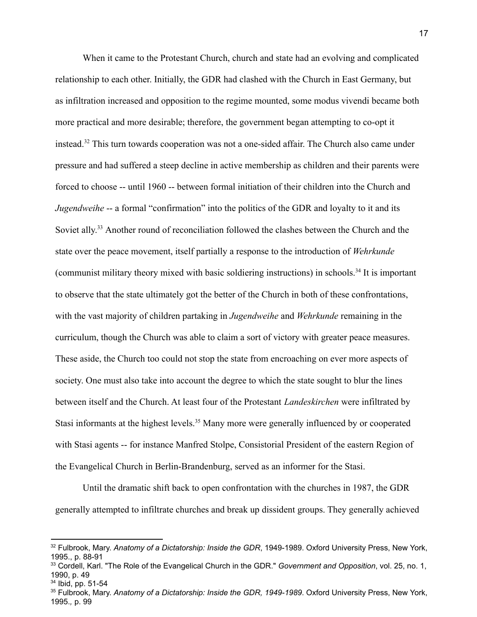When it came to the Protestant Church, church and state had an evolving and complicated relationship to each other. Initially, the GDR had clashed with the Church in East Germany, but as infiltration increased and opposition to the regime mounted, some modus vivendi became both more practical and more desirable; therefore, the government began attempting to co-opt it instead.<sup>32</sup> This turn towards cooperation was not a one-sided affair. The Church also came under pressure and had suffered a steep decline in active membership as children and their parents were forced to choose -- until 1960 -- between formal initiation of their children into the Church and *Jugendweihe* -- a formal "confirmation" into the politics of the GDR and loyalty to it and its Soviet ally.<sup>33</sup> Another round of reconciliation followed the clashes between the Church and the state over the peace movement, itself partially a response to the introduction of *Wehrkunde* (communist military theory mixed with basic soldiering instructions) in schools.<sup>34</sup> It is important to observe that the state ultimately got the better of the Church in both of these confrontations, with the vast majority of children partaking in *Jugendweihe* and *Wehrkunde* remaining in the curriculum, though the Church was able to claim a sort of victory with greater peace measures. These aside, the Church too could not stop the state from encroaching on ever more aspects of society. One must also take into account the degree to which the state sought to blur the lines between itself and the Church. At least four of the Protestant *Landeskirchen* were infiltrated by Stasi informants at the highest levels.<sup>35</sup> Many more were generally influenced by or cooperated with Stasi agents -- for instance Manfred Stolpe, Consistorial President of the eastern Region of the Evangelical Church in Berlin-Brandenburg, served as an informer for the Stasi.

Until the dramatic shift back to open confrontation with the churches in 1987, the GDR generally attempted to infiltrate churches and break up dissident groups. They generally achieved

<sup>34</sup> Ibid, pp. 51-54

<sup>32</sup> Fulbrook, Mary. *Anatomy of a Dictatorship: Inside the GDR*, 1949-1989. Oxford University Press, New York, 1995., p. 88-91

<sup>33</sup> Cordell, Karl. "The Role of the Evangelical Church in the GDR." *Government and Opposition*, vol. 25, no. 1, 1990, p. 49

<sup>35</sup> Fulbrook, Mary. *Anatomy of a Dictatorship: Inside the GDR, 1949-1989*. Oxford University Press, New York, 1995.*,* p. 99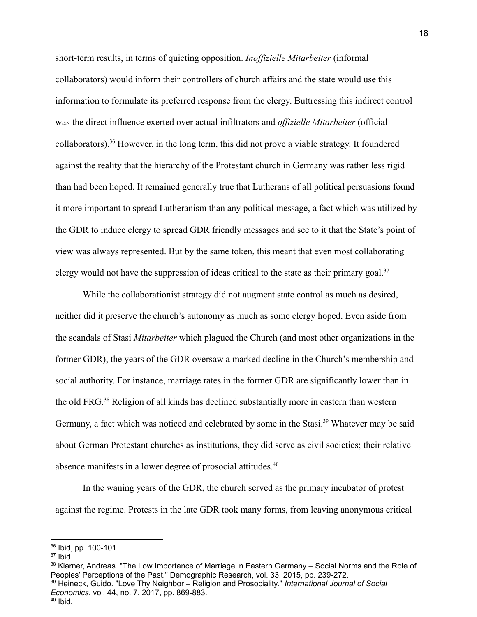short-term results, in terms of quieting opposition. *Inoffizielle Mitarbeiter* (informal collaborators) would inform their controllers of church affairs and the state would use this information to formulate its preferred response from the clergy. Buttressing this indirect control was the direct influence exerted over actual infiltrators and *offizielle Mitarbeiter* (official collaborators).<sup>36</sup> However, in the long term, this did not prove a viable strategy. It foundered against the reality that the hierarchy of the Protestant church in Germany was rather less rigid than had been hoped. It remained generally true that Lutherans of all political persuasions found it more important to spread Lutheranism than any political message, a fact which was utilized by the GDR to induce clergy to spread GDR friendly messages and see to it that the State's point of view was always represented. But by the same token, this meant that even most collaborating clergy would not have the suppression of ideas critical to the state as their primary goal.<sup>37</sup>

While the collaborationist strategy did not augment state control as much as desired, neither did it preserve the church's autonomy as much as some clergy hoped. Even aside from the scandals of Stasi *Mitarbeiter* which plagued the Church (and most other organizations in the former GDR), the years of the GDR oversaw a marked decline in the Church's membership and social authority. For instance, marriage rates in the former GDR are significantly lower than in the old FRG.<sup>38</sup> Religion of all kinds has declined substantially more in eastern than western Germany, a fact which was noticed and celebrated by some in the Stasi.<sup>39</sup> Whatever may be said about German Protestant churches as institutions, they did serve as civil societies; their relative absence manifests in a lower degree of prosocial attitudes.<sup>40</sup>

In the waning years of the GDR, the church served as the primary incubator of protest against the regime. Protests in the late GDR took many forms, from leaving anonymous critical

<sup>36</sup> Ibid, pp. 100-101

<sup>37</sup> Ibid.

<sup>&</sup>lt;sup>38</sup> Klarner, Andreas. "The Low Importance of Marriage in Eastern Germany – Social Norms and the Role of Peoples' Perceptions of the Past." Demographic Research, vol. 33, 2015, pp. 239-272.

<sup>39</sup> Heineck, Guido. "Love Thy Neighbor – Religion and Prosociality." *International Journal of Social Economics*, vol. 44, no. 7, 2017, pp. 869-883.

<sup>40</sup> Ibid.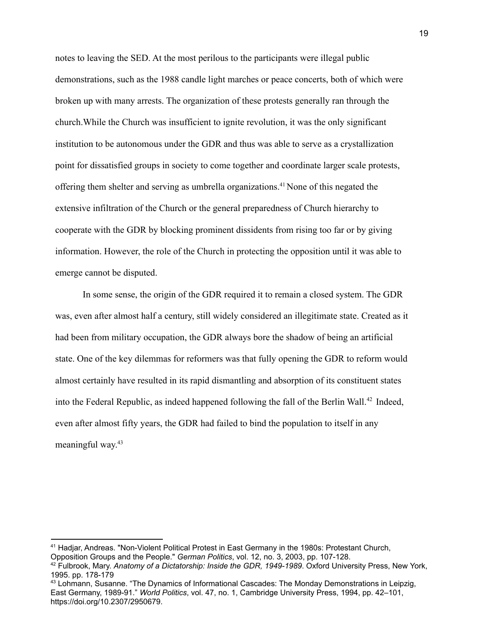notes to leaving the SED. At the most perilous to the participants were illegal public demonstrations, such as the 1988 candle light marches or peace concerts, both of which were broken up with many arrests. The organization of these protests generally ran through the church.While the Church was insufficient to ignite revolution, it was the only significant institution to be autonomous under the GDR and thus was able to serve as a crystallization point for dissatisfied groups in society to come together and coordinate larger scale protests, offering them shelter and serving as umbrella organizations.<sup>41</sup> None of this negated the extensive infiltration of the Church or the general preparedness of Church hierarchy to cooperate with the GDR by blocking prominent dissidents from rising too far or by giving information. However, the role of the Church in protecting the opposition until it was able to emerge cannot be disputed.

In some sense, the origin of the GDR required it to remain a closed system. The GDR was, even after almost half a century, still widely considered an illegitimate state. Created as it had been from military occupation, the GDR always bore the shadow of being an artificial state. One of the key dilemmas for reformers was that fully opening the GDR to reform would almost certainly have resulted in its rapid dismantling and absorption of its constituent states into the Federal Republic, as indeed happened following the fall of the Berlin Wall.<sup>42</sup> Indeed, even after almost fifty years, the GDR had failed to bind the population to itself in any meaningful way. 43

<sup>41</sup> Hadjar, Andreas. "Non-Violent Political Protest in East Germany in the 1980s: Protestant Church, Opposition Groups and the People." *German Politics*, vol. 12, no. 3, 2003, pp. 107-128.

<sup>42</sup> Fulbrook, Mary. *Anatomy of a Dictatorship: Inside the GDR, 1949-1989*. Oxford University Press, New York, 1995. pp. 178-179

<sup>&</sup>lt;sup>43</sup> Lohmann, Susanne. "The Dynamics of Informational Cascades: The Monday Demonstrations in Leipzig, East Germany, 1989-91." *World Politics*, vol. 47, no. 1, Cambridge University Press, 1994, pp. 42–101, https://doi.org/10.2307/2950679.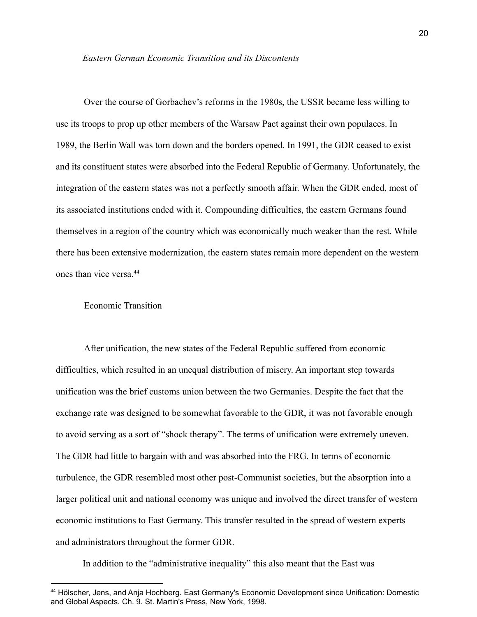Over the course of Gorbachev's reforms in the 1980s, the USSR became less willing to use its troops to prop up other members of the Warsaw Pact against their own populaces. In 1989, the Berlin Wall was torn down and the borders opened. In 1991, the GDR ceased to exist and its constituent states were absorbed into the Federal Republic of Germany. Unfortunately, the integration of the eastern states was not a perfectly smooth affair. When the GDR ended, most of its associated institutions ended with it. Compounding difficulties, the eastern Germans found themselves in a region of the country which was economically much weaker than the rest. While there has been extensive modernization, the eastern states remain more dependent on the western ones than vice versa<sup>44</sup>

### Economic Transition

After unification, the new states of the Federal Republic suffered from economic difficulties, which resulted in an unequal distribution of misery. An important step towards unification was the brief customs union between the two Germanies. Despite the fact that the exchange rate was designed to be somewhat favorable to the GDR, it was not favorable enough to avoid serving as a sort of "shock therapy". The terms of unification were extremely uneven. The GDR had little to bargain with and was absorbed into the FRG. In terms of economic turbulence, the GDR resembled most other post-Communist societies, but the absorption into a larger political unit and national economy was unique and involved the direct transfer of western economic institutions to East Germany. This transfer resulted in the spread of western experts and administrators throughout the former GDR.

In addition to the "administrative inequality" this also meant that the East was

<sup>44</sup> Hölscher, Jens, and Anja Hochberg. East Germany's Economic Development since Unification: Domestic and Global Aspects. Ch. 9. St. Martin's Press, New York, 1998.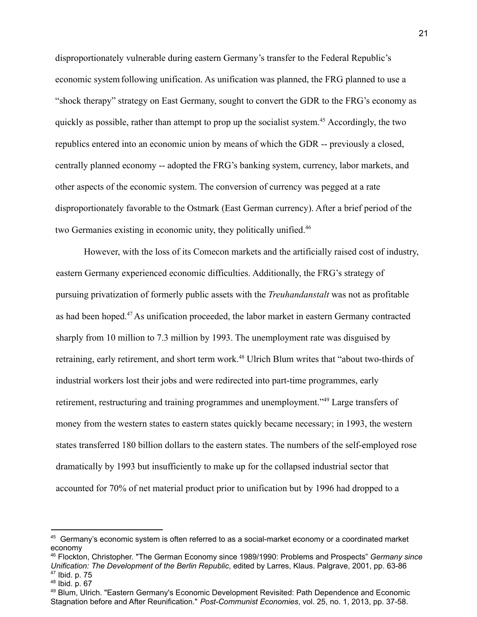disproportionately vulnerable during eastern Germany's transfer to the Federal Republic's economic systemfollowing unification. As unification was planned, the FRG planned to use a "shock therapy" strategy on East Germany, sought to convert the GDR to the FRG's economy as quickly as possible, rather than attempt to prop up the socialist system.<sup>45</sup> Accordingly, the two republics entered into an economic union by means of which the GDR -- previously a closed, centrally planned economy -- adopted the FRG's banking system, currency, labor markets, and other aspects of the economic system. The conversion of currency was pegged at a rate disproportionately favorable to the Ostmark (East German currency). After a brief period of the two Germanies existing in economic unity, they politically unified.<sup>46</sup>

However, with the loss of its Comecon markets and the artificially raised cost of industry, eastern Germany experienced economic difficulties. Additionally, the FRG's strategy of pursuing privatization of formerly public assets with the *Treuhandanstalt* was not as profitable as had been hoped.<sup>47</sup> As unification proceeded, the labor market in eastern Germany contracted sharply from 10 million to 7.3 million by 1993. The unemployment rate was disguised by retraining, early retirement, and short term work.<sup>48</sup> Ulrich Blum writes that "about two-thirds of industrial workers lost their jobs and were redirected into part-time programmes, early retirement, restructuring and training programmes and unemployment."<sup>49</sup> Large transfers of money from the western states to eastern states quickly became necessary; in 1993, the western states transferred 180 billion dollars to the eastern states. The numbers of the self-employed rose dramatically by 1993 but insufficiently to make up for the collapsed industrial sector that accounted for 70% of net material product prior to unification but by 1996 had dropped to a

<sup>&</sup>lt;sup>45</sup> Germany's economic system is often referred to as a social-market economy or a coordinated market economy

<sup>46</sup> Flockton, Christopher. "The German Economy since 1989/1990: Problems and Prospects" *Germany since Unification: The Development of the Berlin Republic*, edited by Larres, Klaus. Palgrave, 2001, pp. 63-86

<sup>47</sup> Ibid. p. 75

 $48$  Ibid. p. 67

<sup>49</sup> Blum, Ulrich. "Eastern Germany's Economic Development Revisited: Path Dependence and Economic Stagnation before and After Reunification." *Post-Communist Economies*, vol. 25, no. 1, 2013, pp. 37-58.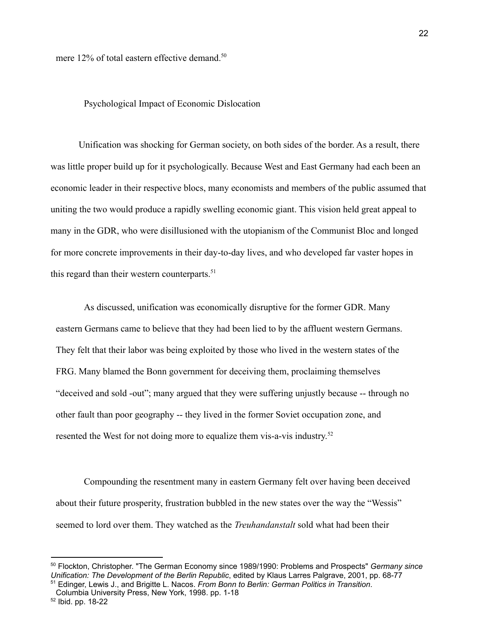mere 12% of total eastern effective demand.<sup>50</sup>

### Psychological Impact of Economic Dislocation

Unification was shocking for German society, on both sides of the border. As a result, there was little proper build up for it psychologically. Because West and East Germany had each been an economic leader in their respective blocs, many economists and members of the public assumed that uniting the two would produce a rapidly swelling economic giant. This vision held great appeal to many in the GDR, who were disillusioned with the utopianism of the Communist Bloc and longed for more concrete improvements in their day-to-day lives, and who developed far vaster hopes in this regard than their western counterparts.<sup>51</sup>

As discussed, unification was economically disruptive for the former GDR. Many eastern Germans came to believe that they had been lied to by the affluent western Germans. They felt that their labor was being exploited by those who lived in the western states of the FRG. Many blamed the Bonn government for deceiving them, proclaiming themselves "deceived and sold -out"; many argued that they were suffering unjustly because -- through no other fault than poor geography -- they lived in the former Soviet occupation zone, and resented the West for not doing more to equalize them vis-a-vis industry.<sup>52</sup>

Compounding the resentment many in eastern Germany felt over having been deceived about their future prosperity, frustration bubbled in the new states over the way the "Wessis" seemed to lord over them. They watched as the *Treuhandanstalt* sold what had been their

<sup>51</sup> Edinger, Lewis J., and Brigitte L. Nacos. *From Bonn to Berlin: German Politics in Transition*. <sup>50</sup> Flockton, Christopher. "The German Economy since 1989/1990: Problems and Prospects" *Germany since Unification: The Development of the Berlin Republic*, edited by Klaus Larres Palgrave, 2001, pp. 68-77

Columbia University Press, New York, 1998. pp. 1-18

<sup>52</sup> Ibid. pp. 18-22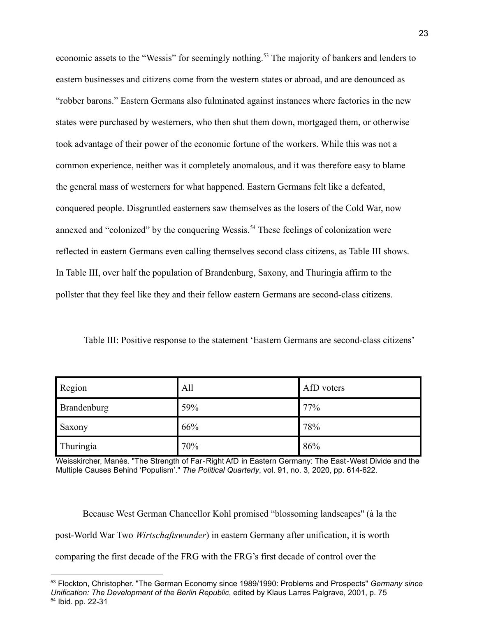economic assets to the "Wessis" for seemingly nothing.<sup>53</sup> The majority of bankers and lenders to eastern businesses and citizens come from the western states or abroad, and are denounced as "robber barons." Eastern Germans also fulminated against instances where factories in the new states were purchased by westerners, who then shut them down, mortgaged them, or otherwise took advantage of their power of the economic fortune of the workers. While this was not a common experience, neither was it completely anomalous, and it was therefore easy to blame the general mass of westerners for what happened. Eastern Germans felt like a defeated, conquered people. Disgruntled easterners saw themselves as the losers of the Cold War, now annexed and "colonized" by the conquering Wessis.<sup>54</sup> These feelings of colonization were reflected in eastern Germans even calling themselves second class citizens, as Table III shows. In Table III, over half the population of Brandenburg, Saxony, and Thuringia affirm to the pollster that they feel like they and their fellow eastern Germans are second-class citizens.

Table III: Positive response to the statement 'Eastern Germans are second-class citizens'

| <b>Region</b> | All | AfD voters |
|---------------|-----|------------|
| Brandenburg   | 59% | 77%        |
| <b>Saxony</b> | 66% | 78%        |
| Thuringia     | 70% | 86%        |

Weisskircher, Manès. "The Strength of Far‐Right AfD in Eastern Germany: The East‐West Divide and the Multiple Causes Behind 'Populism'." *The Political Quarterly*, vol. 91, no. 3, 2020, pp. 614-622.

Because West German Chancellor Kohl promised "blossoming landscapes'' (à la the post-World War Two *Wirtschaftswunder*) in eastern Germany after unification, it is worth comparing the first decade of the FRG with the FRG's first decade of control over the

<sup>54</sup> Ibid. pp. 22-31 <sup>53</sup> Flockton, Christopher. "The German Economy since 1989/1990: Problems and Prospects" *Germany since Unification: The Development of the Berlin Republic*, edited by Klaus Larres Palgrave, 2001, p. 75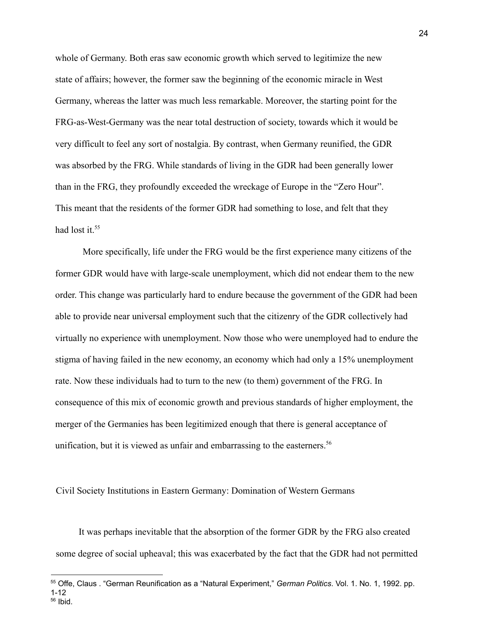whole of Germany. Both eras saw economic growth which served to legitimize the new state of affairs; however, the former saw the beginning of the economic miracle in West Germany, whereas the latter was much less remarkable. Moreover, the starting point for the FRG-as-West-Germany was the near total destruction of society, towards which it would be very difficult to feel any sort of nostalgia. By contrast, when Germany reunified, the GDR was absorbed by the FRG. While standards of living in the GDR had been generally lower than in the FRG, they profoundly exceeded the wreckage of Europe in the "Zero Hour". This meant that the residents of the former GDR had something to lose, and felt that they had lost it.<sup>55</sup>

More specifically, life under the FRG would be the first experience many citizens of the former GDR would have with large-scale unemployment, which did not endear them to the new order. This change was particularly hard to endure because the government of the GDR had been able to provide near universal employment such that the citizenry of the GDR collectively had virtually no experience with unemployment. Now those who were unemployed had to endure the stigma of having failed in the new economy, an economy which had only a 15% unemployment rate. Now these individuals had to turn to the new (to them) government of the FRG. In consequence of this mix of economic growth and previous standards of higher employment, the merger of the Germanies has been legitimized enough that there is general acceptance of unification, but it is viewed as unfair and embarrassing to the easterners.<sup>56</sup>

Civil Society Institutions in Eastern Germany: Domination of Western Germans

It was perhaps inevitable that the absorption of the former GDR by the FRG also created some degree of social upheaval; this was exacerbated by the fact that the GDR had not permitted

<sup>56</sup> Ibid. <sup>55</sup> Offe, Claus . "German Reunification as a "Natural Experiment," *German Politics*. Vol. 1. No. 1, 1992. pp. 1-12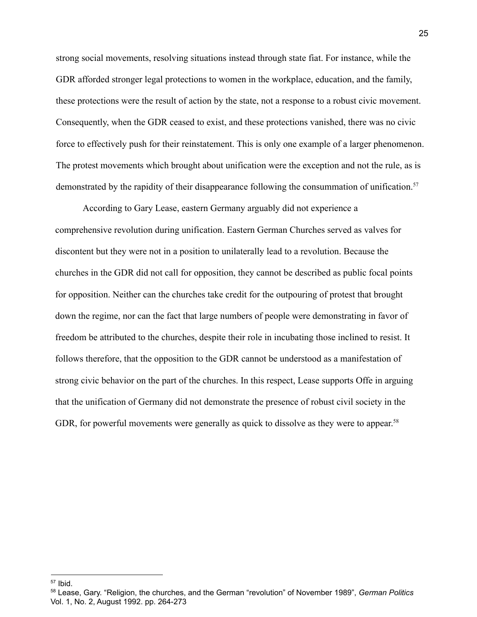strong social movements, resolving situations instead through state fiat. For instance, while the GDR afforded stronger legal protections to women in the workplace, education, and the family, these protections were the result of action by the state, not a response to a robust civic movement. Consequently, when the GDR ceased to exist, and these protections vanished, there was no civic force to effectively push for their reinstatement. This is only one example of a larger phenomenon. The protest movements which brought about unification were the exception and not the rule, as is demonstrated by the rapidity of their disappearance following the consummation of unification.<sup>57</sup>

According to Gary Lease, eastern Germany arguably did not experience a comprehensive revolution during unification. Eastern German Churches served as valves for discontent but they were not in a position to unilaterally lead to a revolution. Because the churches in the GDR did not call for opposition, they cannot be described as public focal points for opposition. Neither can the churches take credit for the outpouring of protest that brought down the regime, nor can the fact that large numbers of people were demonstrating in favor of freedom be attributed to the churches, despite their role in incubating those inclined to resist. It follows therefore, that the opposition to the GDR cannot be understood as a manifestation of strong civic behavior on the part of the churches. In this respect, Lease supports Offe in arguing that the unification of Germany did not demonstrate the presence of robust civil society in the GDR, for powerful movements were generally as quick to dissolve as they were to appear.<sup>58</sup>

 $57$  Ibid.

<sup>58</sup> Lease, Gary. "Religion, the churches, and the German "revolution" of November 1989", *German Politics* Vol. 1, No. 2, August 1992. pp. 264-273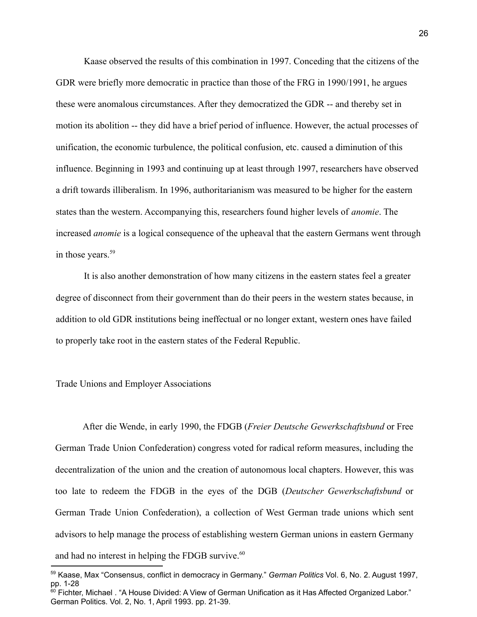Kaase observed the results of this combination in 1997. Conceding that the citizens of the GDR were briefly more democratic in practice than those of the FRG in 1990/1991, he argues these were anomalous circumstances. After they democratized the GDR -- and thereby set in motion its abolition -- they did have a brief period of influence. However, the actual processes of unification, the economic turbulence, the political confusion, etc. caused a diminution of this influence. Beginning in 1993 and continuing up at least through 1997, researchers have observed a drift towards illiberalism. In 1996, authoritarianism was measured to be higher for the eastern states than the western. Accompanying this, researchers found higher levels of *anomie*. The increased *anomie* is a logical consequence of the upheaval that the eastern Germans went through in those years.<sup>59</sup>

It is also another demonstration of how many citizens in the eastern states feel a greater degree of disconnect from their government than do their peers in the western states because, in addition to old GDR institutions being ineffectual or no longer extant, western ones have failed to properly take root in the eastern states of the Federal Republic.

### Trade Unions and Employer Associations

After die Wende, in early 1990, the FDGB (*Freier Deutsche Gewerkschaftsbund* or Free German Trade Union Confederation) congress voted for radical reform measures, including the decentralization of the union and the creation of autonomous local chapters. However, this was too late to redeem the FDGB in the eyes of the DGB (*Deutscher Gewerkschaftsbund* or German Trade Union Confederation), a collection of West German trade unions which sent advisors to help manage the process of establishing western German unions in eastern Germany and had no interest in helping the FDGB survive.<sup>60</sup>

<sup>59</sup> Kaase, Max "Consensus, conflict in democracy in Germany." *German Politics* Vol. 6, No. 2. August 1997, pp. 1-28

 $^{60}$  Fichter. Michael . "A House Divided: A View of German Unification as it Has Affected Organized Labor." German Politics. Vol. 2, No. 1, April 1993. pp. 21-39.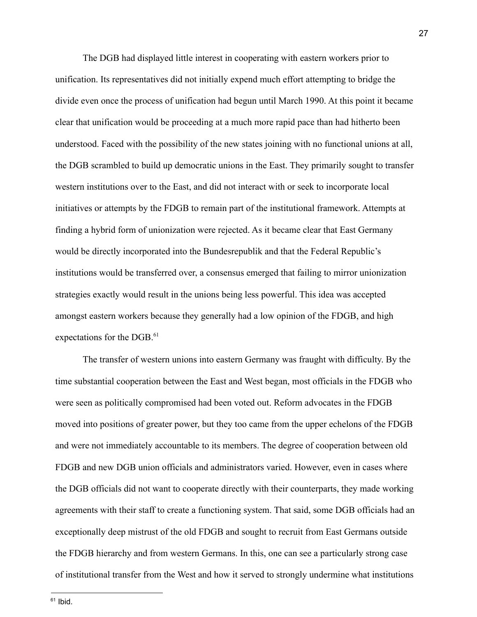The DGB had displayed little interest in cooperating with eastern workers prior to unification. Its representatives did not initially expend much effort attempting to bridge the divide even once the process of unification had begun until March 1990. At this point it became clear that unification would be proceeding at a much more rapid pace than had hitherto been understood. Faced with the possibility of the new states joining with no functional unions at all, the DGB scrambled to build up democratic unions in the East. They primarily sought to transfer western institutions over to the East, and did not interact with or seek to incorporate local initiatives or attempts by the FDGB to remain part of the institutional framework. Attempts at finding a hybrid form of unionization were rejected. As it became clear that East Germany would be directly incorporated into the Bundesrepublik and that the Federal Republic's institutions would be transferred over, a consensus emerged that failing to mirror unionization strategies exactly would result in the unions being less powerful. This idea was accepted amongst eastern workers because they generally had a low opinion of the FDGB, and high expectations for the DGB.<sup>61</sup>

The transfer of western unions into eastern Germany was fraught with difficulty. By the time substantial cooperation between the East and West began, most officials in the FDGB who were seen as politically compromised had been voted out. Reform advocates in the FDGB moved into positions of greater power, but they too came from the upper echelons of the FDGB and were not immediately accountable to its members. The degree of cooperation between old FDGB and new DGB union officials and administrators varied. However, even in cases where the DGB officials did not want to cooperate directly with their counterparts, they made working agreements with their staff to create a functioning system. That said, some DGB officials had an exceptionally deep mistrust of the old FDGB and sought to recruit from East Germans outside the FDGB hierarchy and from western Germans. In this, one can see a particularly strong case of institutional transfer from the West and how it served to strongly undermine what institutions

 $61$  Ibid.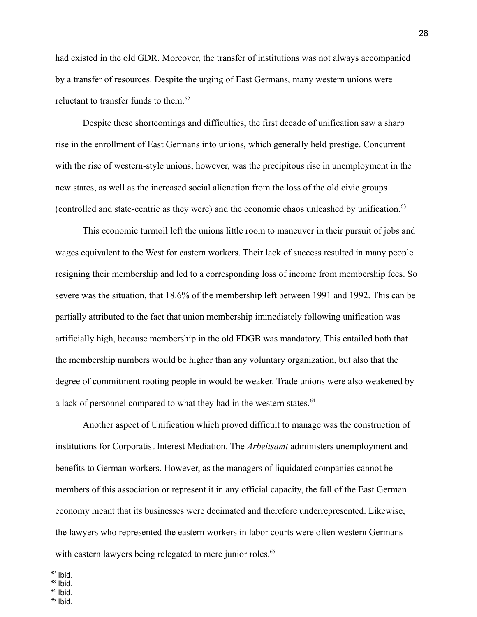had existed in the old GDR. Moreover, the transfer of institutions was not always accompanied by a transfer of resources. Despite the urging of East Germans, many western unions were reluctant to transfer funds to them. $62$ 

Despite these shortcomings and difficulties, the first decade of unification saw a sharp rise in the enrollment of East Germans into unions, which generally held prestige. Concurrent with the rise of western-style unions, however, was the precipitous rise in unemployment in the new states, as well as the increased social alienation from the loss of the old civic groups (controlled and state-centric as they were) and the economic chaos unleashed by unification.<sup>63</sup>

This economic turmoil left the unions little room to maneuver in their pursuit of jobs and wages equivalent to the West for eastern workers. Their lack of success resulted in many people resigning their membership and led to a corresponding loss of income from membership fees. So severe was the situation, that 18.6% of the membership left between 1991 and 1992. This can be partially attributed to the fact that union membership immediately following unification was artificially high, because membership in the old FDGB was mandatory. This entailed both that the membership numbers would be higher than any voluntary organization, but also that the degree of commitment rooting people in would be weaker. Trade unions were also weakened by a lack of personnel compared to what they had in the western states.<sup>64</sup>

Another aspect of Unification which proved difficult to manage was the construction of institutions for Corporatist Interest Mediation. The *Arbeitsamt* administers unemployment and benefits to German workers. However, as the managers of liquidated companies cannot be members of this association or represent it in any official capacity, the fall of the East German economy meant that its businesses were decimated and therefore underrepresented. Likewise, the lawyers who represented the eastern workers in labor courts were often western Germans with eastern lawyers being relegated to mere junior roles.<sup>65</sup>

 $63$  Ibid.

 $65$  Ibid.

 $62$  Ibid.

 $64$  Ibid.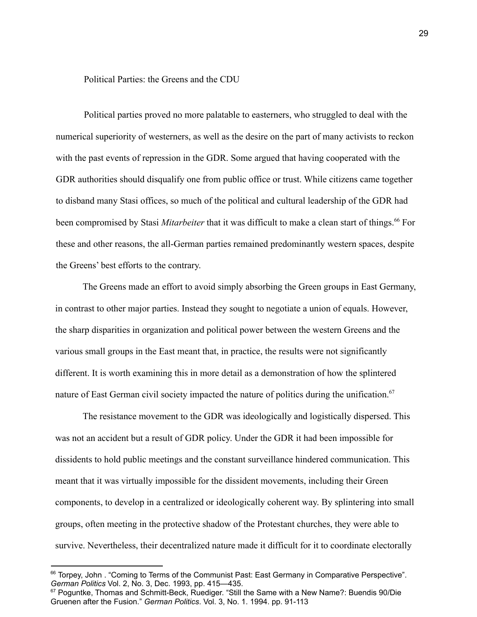Political Parties: the Greens and the CDU

Political parties proved no more palatable to easterners, who struggled to deal with the numerical superiority of westerners, as well as the desire on the part of many activists to reckon with the past events of repression in the GDR. Some argued that having cooperated with the GDR authorities should disqualify one from public office or trust. While citizens came together to disband many Stasi offices, so much of the political and cultural leadership of the GDR had been compromised by Stasi *Mitarbeiter* that it was difficult to make a clean start of things.<sup>66</sup> For these and other reasons, the all-German parties remained predominantly western spaces, despite the Greens' best efforts to the contrary.

The Greens made an effort to avoid simply absorbing the Green groups in East Germany, in contrast to other major parties. Instead they sought to negotiate a union of equals. However, the sharp disparities in organization and political power between the western Greens and the various small groups in the East meant that, in practice, the results were not significantly different. It is worth examining this in more detail as a demonstration of how the splintered nature of East German civil society impacted the nature of politics during the unification.<sup>67</sup>

The resistance movement to the GDR was ideologically and logistically dispersed. This was not an accident but a result of GDR policy. Under the GDR it had been impossible for dissidents to hold public meetings and the constant surveillance hindered communication. This meant that it was virtually impossible for the dissident movements, including their Green components, to develop in a centralized or ideologically coherent way. By splintering into small groups, often meeting in the protective shadow of the Protestant churches, they were able to survive. Nevertheless, their decentralized nature made it difficult for it to coordinate electorally

<sup>&</sup>lt;sup>66</sup> Torpey, John . "Coming to Terms of the Communist Past: East Germany in Comparative Perspective". *German Politics* Vol. 2, No. 3, Dec. 1993, pp. 415—435.

 $67$  Poquntke, Thomas and Schmitt-Beck, Ruediger. "Still the Same with a New Name?: Buendis 90/Die Gruenen after the Fusion." *German Politics*. Vol. 3, No. 1. 1994. pp. 91-113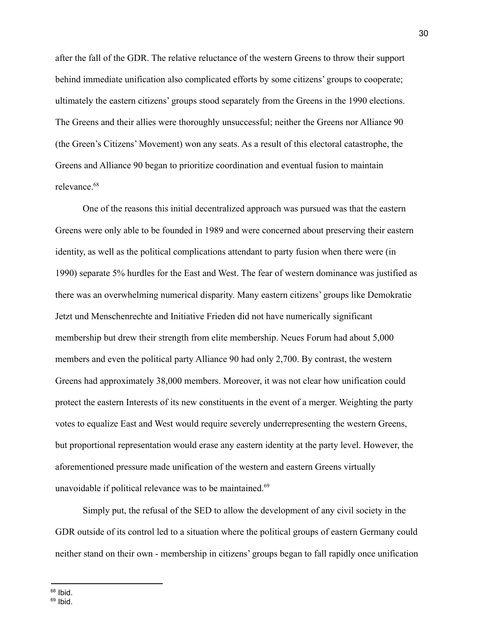after the fall of the GDR. The relative reluctance of the western Greens to throw their support behind immediate unification also complicated efforts by some citizens' groups to cooperate; ultimately the eastern citizens' groups stood separately from the Greens in the 1990 elections. The Greens and their allies were thoroughly unsuccessful; neither the Greens nor Alliance 90 (the Green's Citizens' Movement) won any seats. As a result of this electoral catastrophe, the Greens and Alliance 90 began to prioritize coordination and eventual fusion to maintain relevance 68

One of the reasons this initial decentralized approach was pursued was that the eastern Greens were only able to be founded in 1989 and were concerned about preserving their eastern identity, as well as the political complications attendant to party fusion when there were (in 1990) separate 5% hurdles for the East and West. The fear of western dominance was justified as there was an overwhelming numerical disparity. Many eastern citizens' groups like Demokratie Jetzt und Menschenrechte and Initiative Frieden did not have numerically significant membership but drew their strength from elite membership. Neues Forum had about 5,000 members and even the political party Alliance 90 had only 2,700. By contrast, the western Greens had approximately 38,000 members. Moreover, it was not clear how unification could protect the eastern Interests of its new constituents in the event of a merger. Weighting the party votes to equalize East and West would require severely underrepresenting the western Greens, but proportional representation would erase any eastern identity at the party level. However, the aforementioned pressure made unification of the western and eastern Greens virtually unavoidable if political relevance was to be maintained.<sup>69</sup>

Simply put, the refusal of the SED to allow the development of any civil society in the GDR outside of its control led to a situation where the political groups of eastern Germany could neither stand on their own - membership in citizens' groups began to fall rapidly once unification

 $68$  Ibid.

 $69$  Ibid.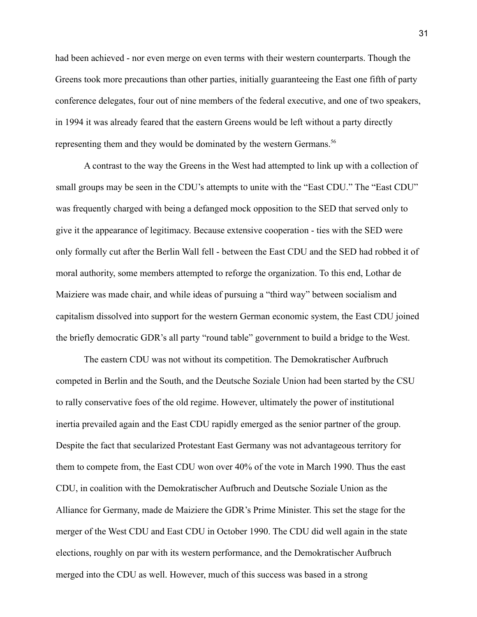had been achieved - nor even merge on even terms with their western counterparts. Though the Greens took more precautions than other parties, initially guaranteeing the East one fifth of party conference delegates, four out of nine members of the federal executive, and one of two speakers, in 1994 it was already feared that the eastern Greens would be left without a party directly representing them and they would be dominated by the western Germans.<sup>56</sup>

A contrast to the way the Greens in the West had attempted to link up with a collection of small groups may be seen in the CDU's attempts to unite with the "East CDU." The "East CDU" was frequently charged with being a defanged mock opposition to the SED that served only to give it the appearance of legitimacy. Because extensive cooperation - ties with the SED were only formally cut after the Berlin Wall fell - between the East CDU and the SED had robbed it of moral authority, some members attempted to reforge the organization. To this end, Lothar de Maiziere was made chair, and while ideas of pursuing a "third way" between socialism and capitalism dissolved into support for the western German economic system, the East CDU joined the briefly democratic GDR's all party "round table" government to build a bridge to the West.

The eastern CDU was not without its competition. The Demokratischer Aufbruch competed in Berlin and the South, and the Deutsche Soziale Union had been started by the CSU to rally conservative foes of the old regime. However, ultimately the power of institutional inertia prevailed again and the East CDU rapidly emerged as the senior partner of the group. Despite the fact that secularized Protestant East Germany was not advantageous territory for them to compete from, the East CDU won over 40% of the vote in March 1990. Thus the east CDU, in coalition with the Demokratischer Aufbruch and Deutsche Soziale Union as the Alliance for Germany, made de Maiziere the GDR's Prime Minister. This set the stage for the merger of the West CDU and East CDU in October 1990. The CDU did well again in the state elections, roughly on par with its western performance, and the Demokratischer Aufbruch merged into the CDU as well. However, much of this success was based in a strong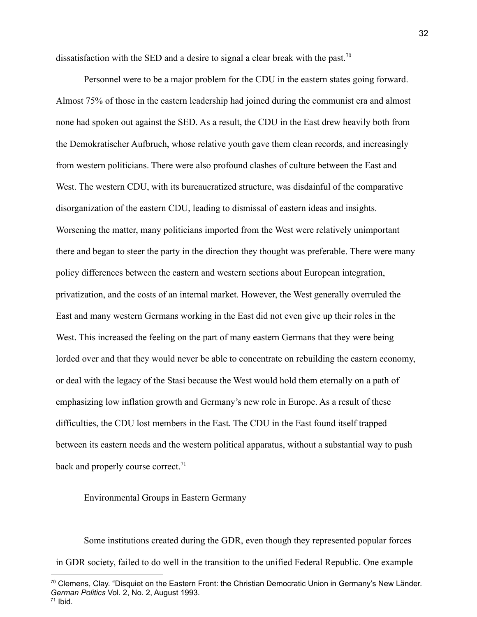dissatisfaction with the SED and a desire to signal a clear break with the past.<sup>70</sup>

Personnel were to be a major problem for the CDU in the eastern states going forward. Almost 75% of those in the eastern leadership had joined during the communist era and almost none had spoken out against the SED. As a result, the CDU in the East drew heavily both from the Demokratischer Aufbruch, whose relative youth gave them clean records, and increasingly from western politicians. There were also profound clashes of culture between the East and West. The western CDU, with its bureaucratized structure, was disdainful of the comparative disorganization of the eastern CDU, leading to dismissal of eastern ideas and insights. Worsening the matter, many politicians imported from the West were relatively unimportant there and began to steer the party in the direction they thought was preferable. There were many policy differences between the eastern and western sections about European integration, privatization, and the costs of an internal market. However, the West generally overruled the East and many western Germans working in the East did not even give up their roles in the West. This increased the feeling on the part of many eastern Germans that they were being lorded over and that they would never be able to concentrate on rebuilding the eastern economy, or deal with the legacy of the Stasi because the West would hold them eternally on a path of emphasizing low inflation growth and Germany's new role in Europe. As a result of these difficulties, the CDU lost members in the East. The CDU in the East found itself trapped between its eastern needs and the western political apparatus, without a substantial way to push back and properly course correct.<sup>71</sup>

### Environmental Groups in Eastern Germany

Some institutions created during the GDR, even though they represented popular forces in GDR society, failed to do well in the transition to the unified Federal Republic. One example

 $^{70}$  Clemens, Clay. "Disquiet on the Eastern Front: the Christian Democratic Union in Germany's New Länder. *German Politics* Vol. 2, No. 2, August 1993.

 $71$  Ibid.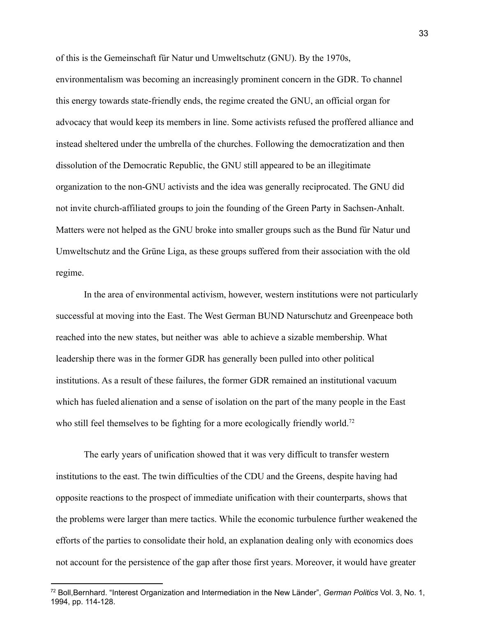of this is the Gemeinschaft für Natur und Umweltschutz (GNU). By the 1970s, environmentalism was becoming an increasingly prominent concern in the GDR. To channel this energy towards state-friendly ends, the regime created the GNU, an official organ for advocacy that would keep its members in line. Some activists refused the proffered alliance and instead sheltered under the umbrella of the churches. Following the democratization and then dissolution of the Democratic Republic, the GNU still appeared to be an illegitimate organization to the non-GNU activists and the idea was generally reciprocated. The GNU did not invite church-affiliated groups to join the founding of the Green Party in Sachsen-Anhalt. Matters were not helped as the GNU broke into smaller groups such as the Bund für Natur und Umweltschutz and the Grüne Liga, as these groups suffered from their association with the old regime.

In the area of environmental activism, however, western institutions were not particularly successful at moving into the East. The West German BUND Naturschutz and Greenpeace both reached into the new states, but neither was able to achieve a sizable membership. What leadership there was in the former GDR has generally been pulled into other political institutions. As a result of these failures, the former GDR remained an institutional vacuum which has fueled alienation and a sense of isolation on the part of the many people in the East who still feel themselves to be fighting for a more ecologically friendly world.<sup>72</sup>

The early years of unification showed that it was very difficult to transfer western institutions to the east. The twin difficulties of the CDU and the Greens, despite having had opposite reactions to the prospect of immediate unification with their counterparts, shows that the problems were larger than mere tactics. While the economic turbulence further weakened the efforts of the parties to consolidate their hold, an explanation dealing only with economics does not account for the persistence of the gap after those first years. Moreover, it would have greater

<sup>72</sup> Boll,Bernhard. "Interest Organization and Intermediation in the New Länder", *German Politics* Vol. 3, No. 1, 1994, pp. 114-128.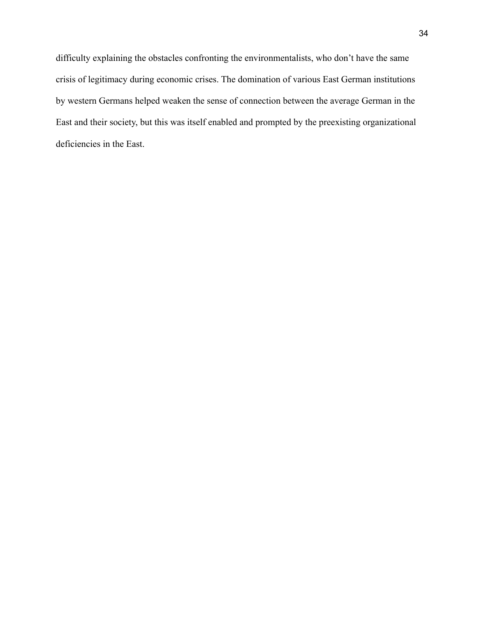difficulty explaining the obstacles confronting the environmentalists, who don't have the same crisis of legitimacy during economic crises. The domination of various East German institutions by western Germans helped weaken the sense of connection between the average German in the East and their society, but this was itself enabled and prompted by the preexisting organizational deficiencies in the East.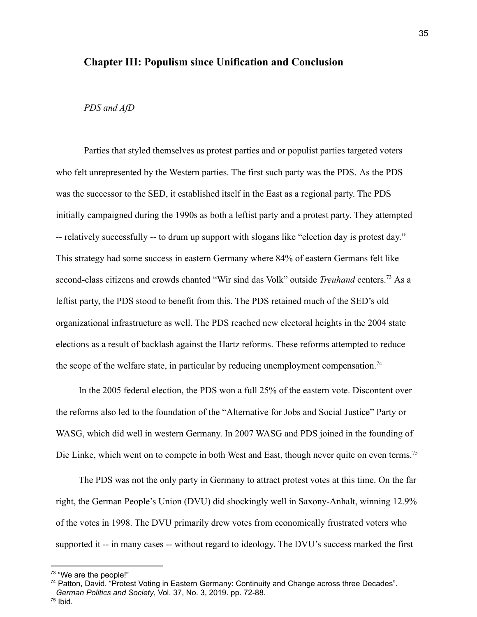### **Chapter III: Populism since Unification and Conclusion**

### *PDS and AfD*

Parties that styled themselves as protest parties and or populist parties targeted voters who felt unrepresented by the Western parties. The first such party was the PDS. As the PDS was the successor to the SED, it established itself in the East as a regional party. The PDS initially campaigned during the 1990s as both a leftist party and a protest party. They attempted -- relatively successfully -- to drum up support with slogans like "election day is protest day." This strategy had some success in eastern Germany where 84% of eastern Germans felt like second-class citizens and crowds chanted "Wir sind das Volk" outside *Treuhand* centers.<sup>73</sup> As a leftist party, the PDS stood to benefit from this. The PDS retained much of the SED's old organizational infrastructure as well. The PDS reached new electoral heights in the 2004 state elections as a result of backlash against the Hartz reforms. These reforms attempted to reduce the scope of the welfare state, in particular by reducing unemployment compensation.<sup>74</sup>

In the 2005 federal election, the PDS won a full 25% of the eastern vote. Discontent over the reforms also led to the foundation of the "Alternative for Jobs and Social Justice" Party or WASG, which did well in western Germany. In 2007 WASG and PDS joined in the founding of Die Linke, which went on to compete in both West and East, though never quite on even terms.<sup>75</sup>

The PDS was not the only party in Germany to attract protest votes at this time. On the far right, the German People's Union (DVU) did shockingly well in Saxony-Anhalt, winning 12.9% of the votes in 1998. The DVU primarily drew votes from economically frustrated voters who supported it -- in many cases -- without regard to ideology. The DVU's success marked the first

<sup>&</sup>lt;sup>73</sup> "We are the people!"

<sup>74</sup> Patton, David. "Protest Voting in Eastern Germany: Continuity and Change across three Decades". *German Politics and Society*, Vol. 37, No. 3, 2019. pp. 72-88.

<sup>75</sup> Ibid.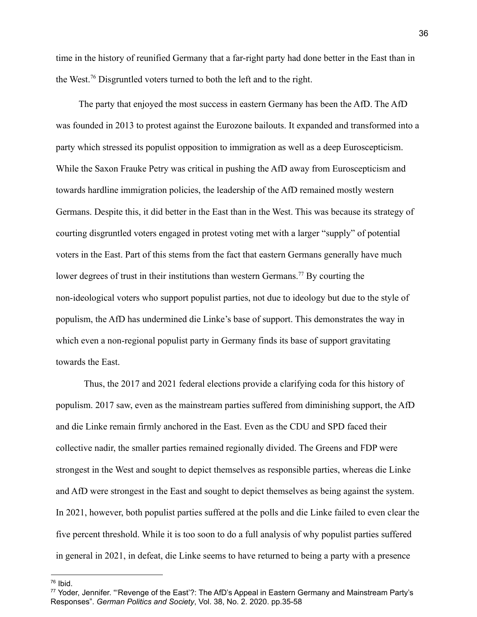time in the history of reunified Germany that a far-right party had done better in the East than in the West.<sup>76</sup> Disgruntled voters turned to both the left and to the right.

The party that enjoyed the most success in eastern Germany has been the AfD. The AfD was founded in 2013 to protest against the Eurozone bailouts. It expanded and transformed into a party which stressed its populist opposition to immigration as well as a deep Euroscepticism. While the Saxon Frauke Petry was critical in pushing the AfD away from Euroscepticism and towards hardline immigration policies, the leadership of the AfD remained mostly western Germans. Despite this, it did better in the East than in the West. This was because its strategy of courting disgruntled voters engaged in protest voting met with a larger "supply" of potential voters in the East. Part of this stems from the fact that eastern Germans generally have much lower degrees of trust in their institutions than western Germans.<sup>77</sup> By courting the non-ideological voters who support populist parties, not due to ideology but due to the style of populism, the AfD has undermined die Linke's base of support. This demonstrates the way in which even a non-regional populist party in Germany finds its base of support gravitating towards the East.

Thus, the 2017 and 2021 federal elections provide a clarifying coda for this history of populism. 2017 saw, even as the mainstream parties suffered from diminishing support, the AfD and die Linke remain firmly anchored in the East. Even as the CDU and SPD faced their collective nadir, the smaller parties remained regionally divided. The Greens and FDP were strongest in the West and sought to depict themselves as responsible parties, whereas die Linke and AfD were strongest in the East and sought to depict themselves as being against the system. In 2021, however, both populist parties suffered at the polls and die Linke failed to even clear the five percent threshold. While it is too soon to do a full analysis of why populist parties suffered in general in 2021, in defeat, die Linke seems to have returned to being a party with a presence

 $76$  Ibid.

<sup>&</sup>lt;sup>77</sup> Yoder, Jennifer. "'Revenge of the East'?: The AfD's Appeal in Eastern Germany and Mainstream Party's Responses". *German Politics and Society*, Vol. 38, No. 2. 2020. pp.35-58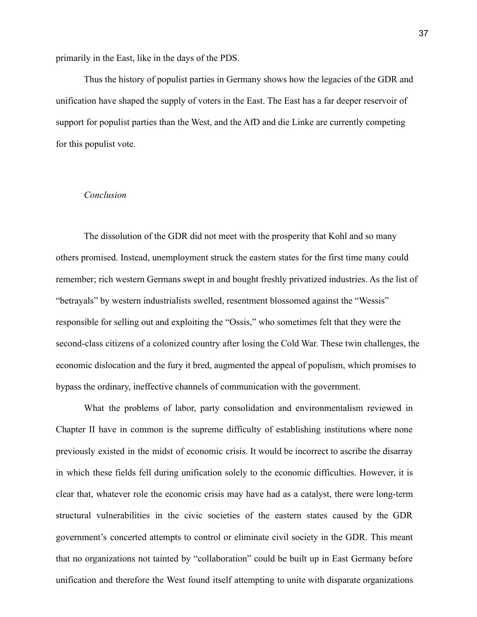primarily in the East, like in the days of the PDS.

Thus the history of populist parties in Germany shows how the legacies of the GDR and unification have shaped the supply of voters in the East. The East has a far deeper reservoir of support for populist parties than the West, and the AfD and die Linke are currently competing for this populist vote.

### *Conclusion*

The dissolution of the GDR did not meet with the prosperity that Kohl and so many others promised. Instead, unemployment struck the eastern states for the first time many could remember; rich western Germans swept in and bought freshly privatized industries. As the list of "betrayals" by western industrialists swelled, resentment blossomed against the "Wessis" responsible for selling out and exploiting the "Ossis," who sometimes felt that they were the second-class citizens of a colonized country after losing the Cold War. These twin challenges, the economic dislocation and the fury it bred, augmented the appeal of populism, which promises to bypass the ordinary, ineffective channels of communication with the government.

What the problems of labor, party consolidation and environmentalism reviewed in Chapter II have in common is the supreme difficulty of establishing institutions where none previously existed in the midst of economic crisis. It would be incorrect to ascribe the disarray in which these fields fell during unification solely to the economic difficulties. However, it is clear that, whatever role the economic crisis may have had as a catalyst, there were long-term structural vulnerabilities in the civic societies of the eastern states caused by the GDR government's concerted attempts to control or eliminate civil society in the GDR. This meant that no organizations not tainted by "collaboration" could be built up in East Germany before unification and therefore the West found itself attempting to unite with disparate organizations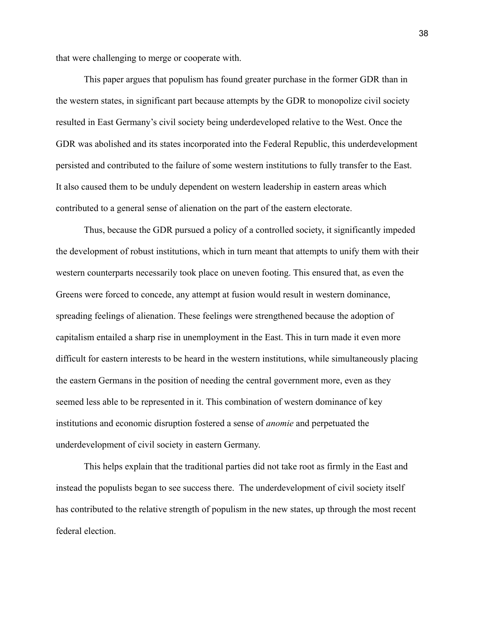that were challenging to merge or cooperate with.

This paper argues that populism has found greater purchase in the former GDR than in the western states, in significant part because attempts by the GDR to monopolize civil society resulted in East Germany's civil society being underdeveloped relative to the West. Once the GDR was abolished and its states incorporated into the Federal Republic, this underdevelopment persisted and contributed to the failure of some western institutions to fully transfer to the East. It also caused them to be unduly dependent on western leadership in eastern areas which contributed to a general sense of alienation on the part of the eastern electorate.

Thus, because the GDR pursued a policy of a controlled society, it significantly impeded the development of robust institutions, which in turn meant that attempts to unify them with their western counterparts necessarily took place on uneven footing. This ensured that, as even the Greens were forced to concede, any attempt at fusion would result in western dominance, spreading feelings of alienation. These feelings were strengthened because the adoption of capitalism entailed a sharp rise in unemployment in the East. This in turn made it even more difficult for eastern interests to be heard in the western institutions, while simultaneously placing the eastern Germans in the position of needing the central government more, even as they seemed less able to be represented in it. This combination of western dominance of key institutions and economic disruption fostered a sense of *anomie* and perpetuated the underdevelopment of civil society in eastern Germany.

This helps explain that the traditional parties did not take root as firmly in the East and instead the populists began to see success there. The underdevelopment of civil society itself has contributed to the relative strength of populism in the new states, up through the most recent federal election.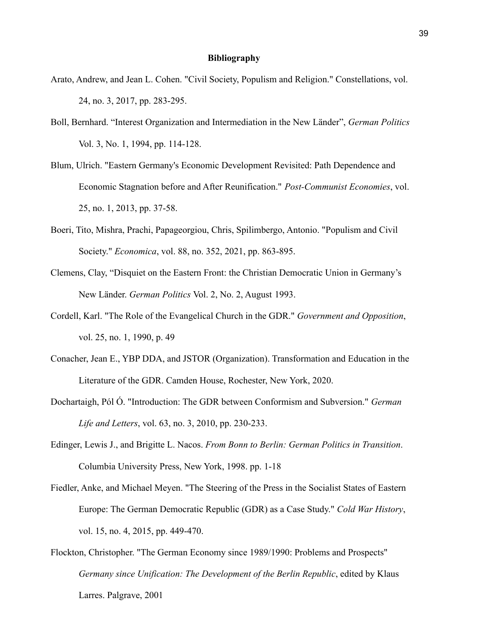#### **Bibliography**

- Arato, Andrew, and Jean L. Cohen. "Civil Society, Populism and Religion." Constellations, vol. 24, no. 3, 2017, pp. 283-295.
- Boll, Bernhard. "Interest Organization and Intermediation in the New Länder", *German Politics* Vol. 3, No. 1, 1994, pp. 114-128.
- Blum, Ulrich. "Eastern Germany's Economic Development Revisited: Path Dependence and Economic Stagnation before and After Reunification." *Post-Communist Economies*, vol. 25, no. 1, 2013, pp. 37-58.
- Boeri, Tito, Mishra, Prachi, Papageorgiou, Chris, Spilimbergo, Antonio. "Populism and Civil Society." *Economica*, vol. 88, no. 352, 2021, pp. 863-895.
- Clemens, Clay, "Disquiet on the Eastern Front: the Christian Democratic Union in Germany's New Länder. *German Politics* Vol. 2, No. 2, August 1993.
- Cordell, Karl. "The Role of the Evangelical Church in the GDR." *Government and Opposition*, vol. 25, no. 1, 1990, p. 49
- Conacher, Jean E., YBP DDA, and JSTOR (Organization). Transformation and Education in the Literature of the GDR. Camden House, Rochester, New York, 2020.
- Dochartaigh, Pól Ó. "Introduction: The GDR between Conformism and Subversion." *German Life and Letters*, vol. 63, no. 3, 2010, pp. 230-233.
- Edinger, Lewis J., and Brigitte L. Nacos. *From Bonn to Berlin: German Politics in Transition*. Columbia University Press, New York, 1998. pp. 1-18
- Fiedler, Anke, and Michael Meyen. "The Steering of the Press in the Socialist States of Eastern Europe: The German Democratic Republic (GDR) as a Case Study." *Cold War History*, vol. 15, no. 4, 2015, pp. 449-470.
- Flockton, Christopher. "The German Economy since 1989/1990: Problems and Prospects" *Germany since Unification: The Development of the Berlin Republic*, edited by Klaus Larres. Palgrave, 2001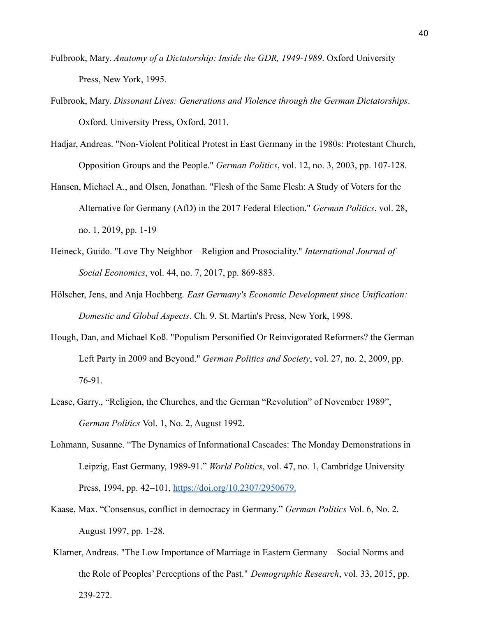- Fulbrook, Mary. *Anatomy of a Dictatorship: Inside the GDR, 1949-1989*. Oxford University Press, New York, 1995.
- Fulbrook, Mary. *Dissonant Lives: Generations and Violence through the German Dictatorships*. Oxford. University Press, Oxford, 2011.
- Hadjar, Andreas. "Non-Violent Political Protest in East Germany in the 1980s: Protestant Church, Opposition Groups and the People." *German Politics*, vol. 12, no. 3, 2003, pp. 107-128.
- Hansen, Michael A., and Olsen, Jonathan. "Flesh of the Same Flesh: A Study of Voters for the Alternative for Germany (AfD) in the 2017 Federal Election." *German Politics*, vol. 28, no. 1, 2019, pp. 1-19
- Heineck, Guido. "Love Thy Neighbor Religion and Prosociality." *International Journal of Social Economics*, vol. 44, no. 7, 2017, pp. 869-883.
- Hölscher, Jens, and Anja Hochberg. *East Germany's Economic Development since Unification: Domestic and Global Aspects*. Ch. 9. St. Martin's Press, New York, 1998.
- Hough, Dan, and Michael Koß. "Populism Personified Or Reinvigorated Reformers? the German Left Party in 2009 and Beyond." *German Politics and Society*, vol. 27, no. 2, 2009, pp. 76-91.
- Lease, Garry., "Religion, the Churches, and the German "Revolution" of November 1989", *German Politics* Vol. 1, No. 2, August 1992.
- Lohmann, Susanne. "The Dynamics of Informational Cascades: The Monday Demonstrations in Leipzig, East Germany, 1989-91." *World Politics*, vol. 47, no. 1, Cambridge University Press[,](https://doi.org/10.2307/2950679.) 1994, pp. 42–101, <https://doi.org/10.2307/2950679>[.](https://doi.org/10.2307/2950679.)
- Kaase, Max. "Consensus, conflict in democracy in Germany." *German Politics* Vol. 6, No. 2. August 1997, pp. 1-28.
- Klarner, Andreas. "The Low Importance of Marriage in Eastern Germany Social Norms and the Role of Peoples' Perceptions of the Past." *Demographic Research*, vol. 33, 2015, pp. 239-272.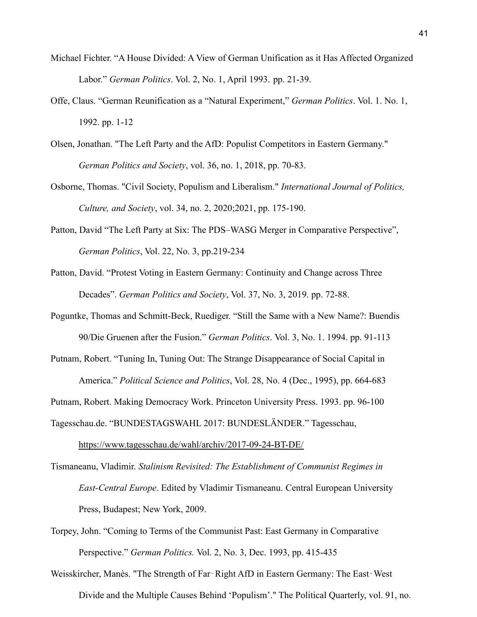- Michael Fichter. "A House Divided: A View of German Unification as it Has Affected Organized Labor." *German Politics*. Vol. 2, No. 1, April 1993. pp. 21-39.
- Offe, Claus. "German Reunification as a "Natural Experiment," *German Politics*. Vol. 1. No. 1, 1992. pp. 1-12
- Olsen, Jonathan. "The Left Party and the AfD: Populist Competitors in Eastern Germany." *German Politics and Society*, vol. 36, no. 1, 2018, pp. 70-83.
- Osborne, Thomas. "Civil Society, Populism and Liberalism." *International Journal of Politics, Culture, and Society*, vol. 34, no. 2, 2020;2021, pp. 175-190.
- Patton, David "The Left Party at Six: The PDS–WASG Merger in Comparative Perspective", *German Politics*, Vol. 22, No. 3, pp.219-234
- Patton, David. "Protest Voting in Eastern Germany: Continuity and Change across Three Decades". *German Politics and Society*, Vol. 37, No. 3, 2019. pp. 72-88.
- Poguntke, Thomas and Schmitt-Beck, Ruediger. "Still the Same with a New Name?: Buendis 90/Die Gruenen after the Fusion." *German Politics*. Vol. 3, No. 1. 1994. pp. 91-113
- Putnam, Robert. "Tuning In, Tuning Out: The Strange Disappearance of Social Capital in America." *Political Science and Politics*, Vol. 28, No. 4 (Dec., 1995), pp. 664-683

Putnam, Robert. Making Democracy Work. Princeton University Press. 1993. pp. 96-100

Tagesschau.de. "BUNDESTAGSWAHL 2017: BUNDESLÄNDER." Tagesschau,

<https://www.tagesschau.de/wahl/archiv/2017-09-24-BT-DE/>

Tismaneanu, Vladimir. *Stalinism Revisited: The Establishment of Communist Regimes in East-Central Europe*. Edited by Vladimir Tismaneanu. Central European University Press, Budapest; New York, 2009.

Torpey, John. "Coming to Terms of the Communist Past: East Germany in Comparative Perspective." *German Politics.* Vol. 2, No. 3, Dec. 1993, pp. 415-435

Weisskircher, Manès. "The Strength of Far-Right AfD in Eastern Germany: The East-West Divide and the Multiple Causes Behind 'Populism'." The Political Quarterly, vol. 91, no.